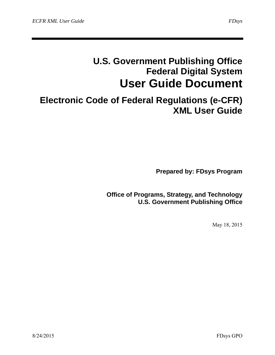# **U.S. Government Publishing Office Federal Digital System User Guide Document**

# **Electronic Code of Federal Regulations (e-CFR) XML User Guide**

**Prepared by: FDsys Program** 

**Office of Programs, Strategy, and Technology U.S. Government Publishing Office** 

May 18, 2015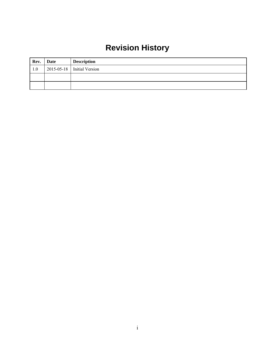# **Revision History**

| Rev. | <b>Date</b> | <b>Description</b>           |
|------|-------------|------------------------------|
| 1.0  |             | $2015-05-18$ Initial Version |
|      |             |                              |
|      |             |                              |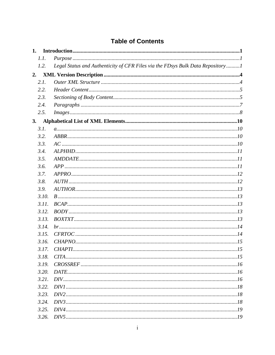| <b>Table of Contents</b> |  |  |
|--------------------------|--|--|
|                          |  |  |

| 1. |       |                                                                                |
|----|-------|--------------------------------------------------------------------------------|
|    | 1.1.  |                                                                                |
|    | 1.2.  | Legal Status and Authenticity of CFR Files via the FDsys Bulk Data Repository1 |
| 2. |       |                                                                                |
|    | 2.1.  |                                                                                |
|    | 2.2.  |                                                                                |
|    | 2.3.  |                                                                                |
|    | 2.4.  |                                                                                |
|    | 2.5.  |                                                                                |
| 3. |       |                                                                                |
|    | 3.1.  |                                                                                |
|    | 3.2.  |                                                                                |
|    | 3.3.  |                                                                                |
|    | 3.4.  |                                                                                |
|    | 3.5.  |                                                                                |
|    | 3.6.  |                                                                                |
|    | 3.7.  |                                                                                |
|    | 3.8.  |                                                                                |
|    | 3.9.  |                                                                                |
|    | 3.10. |                                                                                |
|    | 3.11. |                                                                                |
|    | 3.12. |                                                                                |
|    | 3.13. |                                                                                |
|    | 3.14. |                                                                                |
|    | 3.15. |                                                                                |
|    | 3.16. |                                                                                |
|    | 3.17. |                                                                                |
|    | 3.18. |                                                                                |
|    | 3.19. |                                                                                |
|    | 3.20. |                                                                                |
|    | 3.21. |                                                                                |
|    | 3.22. |                                                                                |
|    | 3.23. |                                                                                |
|    | 3.24. |                                                                                |
|    | 3.25. |                                                                                |
|    | 3.26. |                                                                                |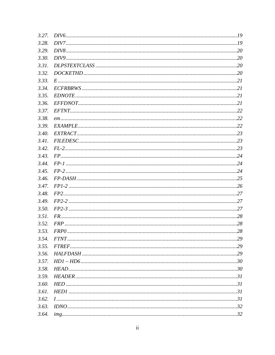| 3.27. |  |
|-------|--|
| 3.28. |  |
| 3.29. |  |
| 3.30. |  |
| 3.31. |  |
| 3.32. |  |
| 3.33. |  |
| 3.34. |  |
| 3.35. |  |
| 3.36. |  |
| 3.37. |  |
| 3.38. |  |
| 3.39. |  |
| 3.40. |  |
| 3.41. |  |
| 3.42. |  |
| 3.43. |  |
| 3.44. |  |
| 3.45. |  |
| 3.46. |  |
| 3.47. |  |
| 3.48. |  |
| 3.49. |  |
| 3.50. |  |
| 3.51. |  |
| 3.52. |  |
| 3.53. |  |
| 3.54. |  |
| 3.55. |  |
| 3.56. |  |
| 3.57. |  |
| 3.58. |  |
| 3.59. |  |
| 3.60. |  |
| 3.61. |  |
| 3.62. |  |
| 3.63. |  |
| 3.64. |  |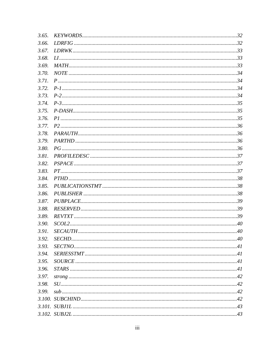| 3.65. |  |
|-------|--|
| 3.66. |  |
| 3.67. |  |
| 3.68. |  |
| 3.69. |  |
| 3.70. |  |
| 3.71. |  |
| 3.72. |  |
| 3.73. |  |
| 3.74. |  |
| 3.75. |  |
| 3.76. |  |
| 3.77. |  |
| 3.78. |  |
| 3.79. |  |
| 3.80. |  |
| 3.81. |  |
| 3.82. |  |
| 3.83. |  |
| 3.84. |  |
| 3.85. |  |
| 3.86. |  |
| 3.87. |  |
| 3.88. |  |
| 3.89. |  |
| 3.90. |  |
| 3.91. |  |
| 3.92. |  |
| 3.93. |  |
| 3.94. |  |
| 3.95. |  |
| 3.96. |  |
| 3.97. |  |
| 3.98. |  |
| 3.99. |  |
|       |  |
|       |  |
|       |  |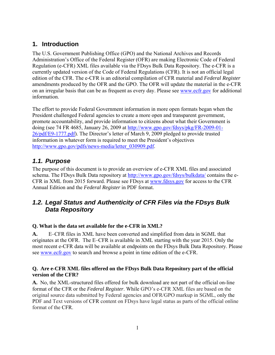# **1. Introduction**

The U.S. Government Publishing Office (GPO) and the National Archives and Records Administration's Office of the Federal Register (OFR) are making Electronic Code of Federal Regulation (e-CFR) XML files available via the FDsys Bulk Data Repository. The e-CFR is a currently updated version of the Code of Federal Regulations (CFR). It is not an official legal edition of the CFR. The e-CFR is an editorial compilation of CFR material and *Federal Register*  amendments produced by the OFR and the GPO. The OFR will update the material in the e-CFR on an irregular basis that can be as frequent as every day. Please see www.ecfr.gov for additional information.

The effort to provide Federal Government information in more open formats began when the President challenged Federal agencies to create a more open and transparent government, promote accountability, and provide information to citizens about what their Government is doing (see 74 FR 4685, January 26, 2009 at http://www.gpo.gov/fdsys/pkg/FR-2009-01- 26/pdf/E9-1777.pdf). The Director's letter of March 9, 2009 pledged to provide trusted information in whatever form is required to meet the President's objectives http://www.gpo.gov/pdfs/news-media/letter\_030909.pdf.

# *1.1. Purpose*

The purpose of this document is to provide an overview of e-CFR XML files and associated schema. The FDsys Bulk Data repository at http://www.gpo.gov/fdsys/bulkdata/ contains the e-CFR in XML from 2015 forward. Please see FDsys at www.fdsys.gov for access to the CFR Annual Edition and the *Federal Register* in PDF format.

# *1.2. Legal Status and Authenticity of CFR Files via the FDsys Bulk Data Repository*

#### **Q. What is the data set available for the e-CFR in XML?**

**A.** E–CFR files in XML have been converted and simplified from data in SGML that originates at the OFR. The E–CFR is available in XML starting with the year 2015. Only the most recent e-CFR data will be available at endpoints on the FDsys Bulk Data Repository. Please see www.ecfr.gov to search and browse a point in time edition of the e-CFR.

#### **Q. Are e-CFR XML files offered on the FDsys Bulk Data Repository part of the official version of the CFR?**

**A.** No, the XML-structured files offered for bulk download are not part of the official on-line format of the CFR or the *Federal Register*. While GPO's e-CFR XML files are based on the original source data submitted by Federal agencies and OFR/GPO markup in SGML, only the PDF and Text versions of CFR content on FDsys have legal status as parts of the official online format of the CFR.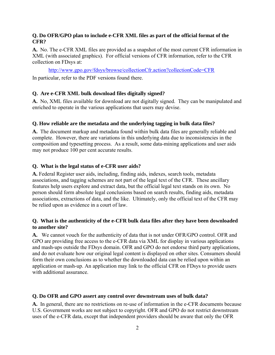#### **Q. Do OFR/GPO plan to include e-CFR XML files as part of the official format of the CFR?**

**A.** No. The e-CFR XML files are provided as a snapshot of the most current CFR information in XML (with associated graphics). For official versions of CFR information, refer to the CFR collection on FDsys at:

http://www.gpo.gov/fdsys/browse/collectionCfr.action?collectionCode=CFR In particular, refer to the PDF versions found there.

#### **Q. Are e-CFR XML bulk download files digitally signed?**

**A.** No, XML files available for download are not digitally signed. They can be manipulated and enriched to operate in the various applications that users may devise.

#### **Q. How reliable are the metadata and the underlying tagging in bulk data files?**

**A.** The document markup and metadata found within bulk data files are generally reliable and complete. However, there are variations in this underlying data due to inconsistencies in the composition and typesetting process. As a result, some data-mining applications and user aids may not produce 100 per cent accurate results.

#### **Q. What is the legal status of e-CFR user aids?**

**A.** Federal Register user aids, including, finding aids, indexes, search tools, metadata associations, and tagging schemes are not part of the legal text of the CFR. These ancillary features help users explore and extract data, but the official legal text stands on its own. No person should form absolute legal conclusions based on search results, finding aids, metadata associations, extractions of data, and the like. Ultimately, only the official text of the CFR may be relied upon as evidence in a court of law.

#### **Q. What is the authenticity of the e-CFR bulk data files after they have been downloaded to another site?**

**A.** We cannot vouch for the authenticity of data that is not under OFR/GPO control. OFR and GPO are providing free access to the e-CFR data via XML for display in various applications and mash-ups outside the FDsys domain. OFR and GPO do not endorse third party applications, and do not evaluate how our original legal content is displayed on other sites. Consumers should form their own conclusions as to whether the downloaded data can be relied upon within an application or mash-up. An application may link to the official CFR on FDsys to provide users with additional assurance.

#### **Q. Do OFR and GPO assert any control over downstream uses of bulk data?**

**A.** In general, there are no restrictions on re-use of information in the e-CFR documents because U.S. Government works are not subject to copyright. OFR and GPO do not restrict downstream uses of the e-CFR data, except that independent providers should be aware that only the OFR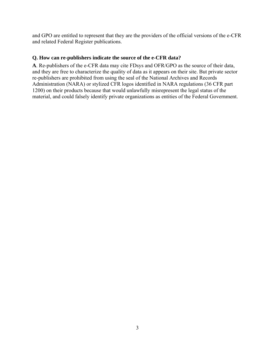and GPO are entitled to represent that they are the providers of the official versions of the e-CFR and related Federal Register publications.

#### **Q. How can re-publishers indicate the source of the e-CFR data?**

**A**. Re-publishers of the e-CFR data may cite FDsys and OFR/GPO as the source of their data, and they are free to characterize the quality of data as it appears on their site. But private sector re-publishers are prohibited from using the seal of the National Archives and Records Administration (NARA) or stylized CFR logos identified in NARA regulations (36 CFR part 1200) on their products because that would unlawfully misrepresent the legal status of the material, and could falsely identify private organizations as entities of the Federal Government.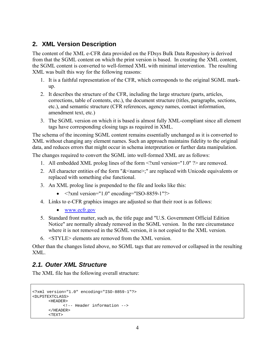# **2. XML Version Description**

The content of the XML e-CFR data provided on the FDsys Bulk Data Repository is derived from that the SGML content on which the print version is based. In creating the XML content, the SGML content is converted to well-formed XML with minimal intervention. The resulting XML was built this way for the following reasons:

- 1. It is a faithful representation of the CFR, which corresponds to the original SGML markup.
- 2. It describes the structure of the CFR, including the large structure (parts, articles, corrections, table of contents, etc.), the document structure (titles, paragraphs, sections, etc.), and semantic structure (CFR references, agency names, contact information, amendment text, etc.)
- 3. The SGML version on which it is based is almost fully XML-compliant since all element tags have corresponding closing tags as required in XML.

The schema of the incoming SGML content remains essentially unchanged as it is converted to XML without changing any element names. Such an approach maintains fidelity to the original data, and reduces errors that might occur in schema interpretation or further data manipulation.

The changes required to convert the SGML into well-formed XML are as follows:

- 1. All embedded XML prolog lines of the form <?xml version="1.0" ?> are removed.
- 2. All character entities of the form " $&\leq$ name>;" are replaced with Unicode equivalents or replaced with something else functional.
- 3. An XML prolog line is prepended to the file and looks like this:
	- $\langle$  2xml version="1.0" encoding="ISO-8859-1"?>
- 4. Links to e-CFR graphics images are adjusted so that their root is as follows:
	- www.ecfr.gov
- 5. Standard front matter, such as, the title page and "U.S. Government Official Edition Notice" are normally already removed in the SGML version. In the rare circumstance where it is not removed in the SGML version, it is not copied to the XML version.
- 6. <STYLE> elements are removed from the XML version.

Other than the changes listed above, no SGML tags that are removed or collapsed in the resulting XML.

### *2.1. Outer XML Structure*

The XML file has the following overall structure:

```
<?xml version="1.0" encoding="ISO-8859-1"?> 
<DLPSTEXTCLASS> 
       <HEADER> 
              <!-- Header information --> 
       </HEADER> 
       <TEXT>
```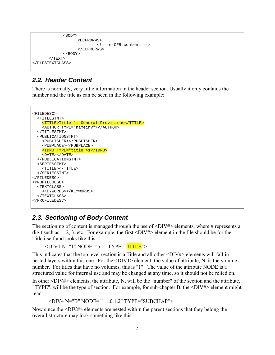```
 <BODY> 
                       <ECFRBRWS> 
                                <!-- e-CFR content --> 
                       </ECFRBRWS> 
                </BODY> 
       </TEXT>
</DLPSTEXTCLASS>
```
### *2.2. Header Content*

There is normally, very little information in the header section. Usually it only contains the number and the title as can be seen in the following example:

```
<FILEDESC> 
   <TITLESTMT> 
     <TITLE>Title 1: General Provisions</TITLE> 
     <AUTHOR TYPE="nameinv"></AUTHOR> 
   </TITLESTMT> 
   <PUBLICATIONSTMT> 
     <PUBLISHER></PUBLISHER> 
     <PUBPLACE></PUBPLACE> 
     <IDNO TYPE="title">1</IDNO> 
     <DATE></DATE> 
   </PUBLICATIONSTMT> 
   <SERIESSTMT> 
     <TITLE></TITLE> 
   </SERIESSTMT> 
</FILEDESC> 
<PROFILEDESC> 
   <TEXTCLASS> 
     <KEYWORDS></KEYWORDS> 
   </TEXTCLASS> 
</PROFILEDESC>
```
#### *2.3. Sectioning of Body Content*

The sectioning of content is managed through the use of  $\langle \text{DIV#}\rangle$  elements, where # represents a digit such as 1, 2, 3, etc. For example, the first <DIV#> element in the file should be for the Title itself and looks like this:

```
<DIV1 N="1" NODE="5:1" TYPE="TITLE">
```
This indicates that the top level section is a Title and all other <DIV#> elements will fall in nested layers within this one. For the  $\langle \text{DIV1} \rangle$  element, the value of attribute, N, is the volume number. For titles that have no volumes, this is "1". The value of the attribute NODE is a structured value for internal use and may be changed at any time, so it should not be relied on.

In other <DIV#> elements, the attribute, N, will be the "number" of the section and the attribute, "TYPE", will be the type of section. For example, for sub-chapter B, the  $\langle DIV# \rangle$  element might read:

<DIV4 N="B" NODE="1:1.0.1.2" TYPE="SUBCHAP">

Now since the <DIV#> elements are nested within the parent sections that they belong the overall structure may look something like this: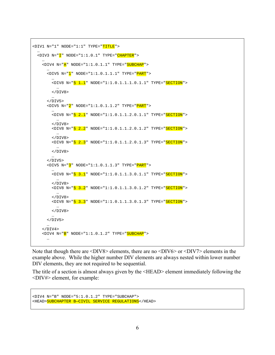```
<DIV1 N="1" NODE="1:1" TYPE="TITLE"> 
 … 
 <DIV3 N="I'' NODE="1:1.0.1" TYPE="CHAPTER">
 … 
   <DIV4 N="<mark>A</mark>" NODE="1:1.0.1.1" TYPE="<mark>SUBCHAP</mark>">
 … 
      \texttt{<DIV5} N="\texttt{l}" NODE="1:1.0.1.1.1" TYPE="\overline{\texttt{PART}}">
 … 
        <DIV8 N = "S 1.1" NODE = "1:1.0.1.1.1.0.1.1" TYPE = "SECTION" > … 
        </DIV8>
         … 
      </DIV5>
       <DIV5 N="2" NODE="1:1.0.1.1.2" TYPE="PART"> 
 … 
        <DIV8 N = "S 2.1" NODE = "1:1.0.1.1.2.0.1.1" TYPE = "SECTION" > … 
         </DIV8> 
         <DIV8 N="§ 2.2" NODE="1:1.0.1.1.2.0.1.2" TYPE="SECTION"> 
 … 
         </DIV8> 
        <DIV8 N="S 2.3" NODE="1:1.0.1.1.2.0.1.3" TYPE="SECTION">
 … 
        </DIV8>
 … 
      </DIV5> <DIV5 N="3" NODE="1:1.0.1.1.3" TYPE="PART"> 
 … 
        <DIV8 N = "S 3.1" NODE = "1:1.0.1.1.3.0.1.1" TYPE = "SECTION" > … 
         </DIV8> 
        <DIV8 N="S 3.2" NODE="1:1.0.1.1.3.0.1.2" TYPE="SECTION">
 … 
        </DIV8> <DIV8 N="§ 3.3" NODE="1:1.0.1.1.3.0.1.3" TYPE="SECTION"> 
 … 
         </DIV8> 
         … 
      </DIV5>
       … 
    </DIV4>
     <DIV4 N="B" NODE="1:1.0.1.2" TYPE="SUBCHAP"> 
 …
```
Note that though there are <DIV8> elements, there are no <DIV6> or <DIV7> elements in the example above. While the higher number DIV elements are always nested within lower number DIV elements, they are not required to be sequential.

The title of a section is almost always given by the <HEAD> element immediately following the <DIV#> element, for example:

```
<DIV4 N="B" NODE="5:1.0.1.2" TYPE="SUBCHAP"> 
<HEAD>SUBCHAPTER B—CIVIL SERVICE REGULATIONS</HEAD>
```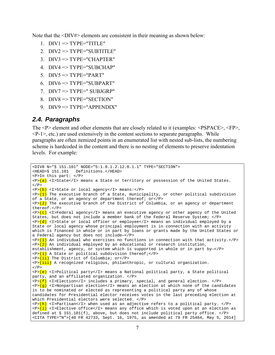Note that the  $\langle \text{DIV#} \rangle$  elements are consistent in their meaning as shown below:

- 1.  $DIV1 \Rightarrow TYPE=''TITLE''$
- 2.  $DIV2 \Rightarrow TYPE='SUBTITLE'$
- 3.  $DIV3 \Rightarrow TYPE="CHAPTER"$
- 4.  $DIV4 \Rightarrow TYPE= "SUBCHAP"$
- 5.  $DIV5 \Rightarrow TYPE="PART"$
- 6. DIV $6 \Rightarrow$  TYPE="SUBPART"
- 7.  $DIV7 \Rightarrow TYPE = "SUBJGRP"$
- 8. DIV8  $\Rightarrow$  TYPE="SECTION"
- 9.  $DIV9 \Rightarrow TYPE="APPENDIX"$

#### *2.4. Paragraphs*

The <P> element and other elements that are closely related to it (examples: <PSPACE>, <FP>,  $\langle P-1 \rangle$ , etc.) are used extensively in the content sections to separate paragraphs. While paragraphs are often itemized points in an enumerated list with nested sub-lists, the numbering scheme is hardcoded in the content and there is no nesting of elements to preserve indentation levels. For example:

```
<DIV8 N="§ 151.101" NODE="5:1.0.1.2.12.0.1.1" TYPE="SECTION"> 
<HEAD>§ 151.101 Definitions.</HEAD> 
<P>In this part: </P> 
\langle P \rangle(a) <I>State</I> means a State or territory or possession of the United States.
</P>
<P>(b) <I>State or local agency</I> means:</P> 
\langle P \rangle(1) The executive branch of a State, municipality, or other political subdivision
of a State, or an agency or department thereof; or</P> 
\langle P \rangle (2) The executive branch of the District of Columbia, or an agency or department
thereof.</P> 
\langle P \rangle(c) <I>Federal agency</I> means an executive agency or other agency of the United
States, but does not include a member bank of the Federal Reserve System; </P> 
\langle P\rangle <P>(d) <I>State or local officer or employee</I> means an individual employed by a
State or local agency whose principal employment is in connection with an activity 
which is financed in whole or in part by loans or grants made by the United States or 
a Federal agency but does not include—</P> 
\langle P \rangle(1) An individual who exercises no functions in connection with that activity.\langle P \rangle\langle P \rangle (2) An individual employed by an educational or research institution,
establishment, agency, or system which is supported in whole or in part by—</P> 
\langle P \rangle (i) A State or political subdivision thereof; </P>
<P>(ii) The District of Columbia; or</P> 
<P>(iii) A recognized religious, philanthropic, or cultural organization. 
</P>
<P>(e) <I>Political party</I> means a National political party, a State political 
party, and an affiliated organization. </P> 
\overline{\text{p}} <I>Election</I> includes a primary, special, and general election. </P>
\langle P \rangle(g) <I>Nonpartisan election</I> means an election at which none of the candidates
is to be nominated or elected as representing a political party any of whose 
candidates for Presidential elector receives votes in the last preceding election at 
which Presidential electors were selected. </P> 
\langle P \rangle(h) <I>Partisan</I> when used as an adjective refers to a political party. </P>
\langle P \rangle(i) <I>Elective office</I> means any office which is voted upon at an election as
defined at § 151.101(f), above, but does not include political party office. </P> 
<CITA TYPE="N">[40 FR 42733, Sept. 16, 1975, as amended at 79 FR 25484, May 5, 2014]
```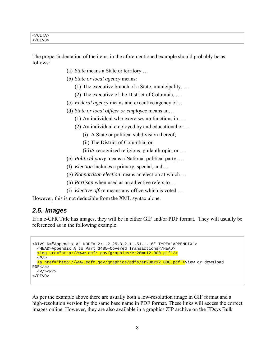| $\langle$ /CITA $\rangle$ |  |  |  |
|---------------------------|--|--|--|
| $<$ /DIV8>                |  |  |  |

The proper indentation of the items in the aforementioned example should probably be as follows:

- (a) *State* means a State or territory …
- (b) *State or local agency* means:
	- (1) The executive branch of a State, municipality, …
	- (2) The executive of the District of Columbia, …
- (c) *Federal agency* means and executive agency or…
- (d) *State or local officer or employee* means an…
	- (1) An individual who exercises no functions in …
	- (2) An individual employed by and educational or …
		- (i) A State or political subdivision thereof;
		- (ii) The District of Columbia; or
		- (iii)A recognized religious, philanthropic, or …
- (e) *Political party* means a National political party, …
- (f) *Election* includes a primary, special, and …
- (g) *Nonpartisan election* means an election at which …
- (h) *Partisan* when used as an adjective refers to …
- (i) *Elective office* means any office which is voted …

However, this is not deducible from the XML syntax alone.

#### *2.5. Images*

If an e-CFR Title has images, they will be in either GIF and/or PDF format. They will usually be referenced as in the following example:

```
<DIV9 N="Appendix A" NODE="2:1.2.25.3.2.11.51.1.16" TYPE="APPENDIX"> 
   <HEAD>Appendix A to Part 3485—Covered Transactions</HEAD> 
   <img src="http://www.ecfr.gov/graphics/er28mr12.000.gif"/> 
  \langle P / \rangle <a href="http://www.ecfr.gov/graphics/pdfs/er28mr12.000.pdf">View or download 
PDF</a> <math>\langle</math> a<P/><P/>
</DIV9>
```
As per the example above there are usually both a low-resolution image in GIF format and a high-resolution version by the same base name in PDF format. These links will access the correct images online. However, they are also available in a graphics ZIP archive on the FDsys Bulk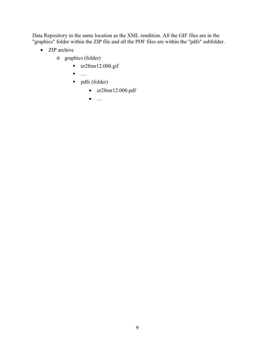Data Repository in the same location as the XML rendition. All the GIF files are in the "graphics" folder within the ZIP file and all the PDF files are within the "pdfs" subfolder.

- ZIP archive
	- o graphics (folder)
		- $er28mr12.000$ .gif
		- $\blacksquare$
		- pdfs (folder)
			- er28mr12.000.pdf
			- $\bullet$  ...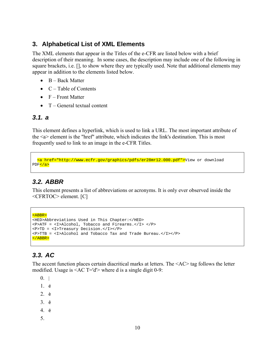### **3. Alphabetical List of XML Elements**

The XML elements that appear in the Titles of the e-CFR are listed below with a brief description of their meaning. In some cases, the description may include one of the following in square brackets, i.e. [], to show where they are typically used. Note that additional elements may appear in addition to the elements listed below.

- $\bullet$  B Back Matter
- $\bullet$  C Table of Contents
- $\bullet$  F Front Matter
- $\bullet$  T General textual content

### *3.1. a*

This element defines a hyperlink, which is used to link a URL. The most important attribute of the <a> element is the "href" attribute, which indicates the link's destination. This is most frequently used to link to an image in the e-CFR Titles.

```
 <a href="http://www.ecfr.gov/graphics/pdfs/er28mr12.000.pdf">View or download 
PDF</a>
```
### *3.2. ABBR*

This element presents a list of abbreviations or acronyms. It is only ever observed inside the <CFRTOC> element. [C]

```
<ABBR> 
<HED>Abbreviations Used in This Chapter:</HED> 
<P>ATF = <I>Alcohol, Tobacco and Firearms.</I> </P> 
<P>TD = <I>Treasury Decision.</I></P> 
<P>TTB = <I>Alcohol and Tobacco Tax and Trade Bureau.</I></P> 
</ABBR>
```
# *3.3. AC*

The accent function places certain diacritical marks at letters. The <AC> tag follows the letter modified. Usage is <AC T='d'> where d is a single digit 0-9:

 $0.1$ 

- 1. é
- 2. è
- 3. ê
- 4. ë
- 5.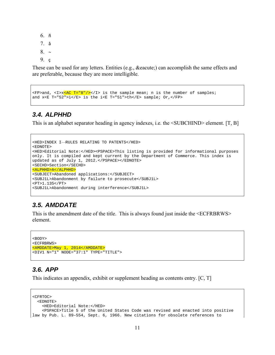6. ñ

- 7. å
- $8.~\sim$
- 9. ç

These can be used for any letters. Entities (e.g., é) can accomplish the same effects and are preferable, because they are more intelligible.

```
\langle FP \rangle and, \langle I \rangle \times \langle AC \ T = "8" / \rangle \langle I \rangle is the sample mean; n is the number of samples;
and x \leq T = "52" > i \leq /E> is the i \leq T = "51" > th \leq /E> sample; Or, </FP>
```
#### *3.4. ALPHHD*

This is an alphabet separator heading in agency indexes, i.e. the <SUBCHIND> element. [T, B]

```
<HED>INDEX I—RULES RELATING TO PATENTS</HED> 
<EDNOTE> 
<HED>Editorial Note:</HED><PSPACE>This listing is provided for informational purposes 
only. It is compiled and kept current by the Department of Commerce. This index is 
updated as of July 1, 2012.</PSPACE></EDNOTE> 
<SECHD>Section</SECHD> 
<ALPHHD>A</ALPHHD> 
<SUBJECT>Abandoned applications:</SUBJECT> 
<SUBJ1L>Abandonment by failure to prosecute</SUBJ1L> 
<PT>1.135</PT> 
<SUBJ1L>Abandonment during interference</SUBJ1L>
```
#### *3.5. AMDDATE*

This is the amendment date of the title. This is always found just inside the <ECFRBRWS> element.

```
<BODY> 
<ECFRBRWS> 
<AMDDATE>May 1, 2014</AMDDATE> 
<DIV1 N="1" NODE="37:1" TYPE="TITLE">
```
### *3.6. APP*

This indicates an appendix, exhibit or supplement heading as contents entry. [C, T]

```
<CFRTOC> 
   <EDNOTE> 
     <HED>Editorial Note:</HED> 
     <PSPACE>Title 5 of the United States Code was revised and enacted into positive 
law by Pub. L. 89–554, Sept. 6, 1966. New citations for obsolete references to
```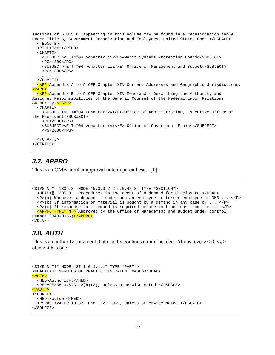```
sections of 5 U.S.C. appearing in this volume may be found in a redesignation table 
under Title 5, Government Organization and Employees, United States Code.</PSPACE> 
   </EDNOTE> 
   <PTHD>Part</PTHD> 
   <CHAPTI> 
     <SUBJECT><E T="04">chapter ii</E>—Merit Systems Protection Board</SUBJECT> 
    <PG>1200</PG> <SUBJECT><E T="04">chapter iii</E>—Office of Management and Budget</SUBJECT> 
     <PG>1300</PG> 
 … 
   </CHAPTI> 
   <APP>Appendix A to 5 CFR Chapter XIV—Current Addresses and Geographic Jurisdictions. 
</APP>
   <APP>Appendix B to 5 CFR Chapter XIV—Memorandum Describing the Authority and 
Assigned Responsibilities of the General Counsel of the Federal Labor Relations 
Authority.</APP> 
   <CHAPTI> 
     <SUBJECT><E T="04">chapter xv</E>—Office of Administration, Executive Office of 
the President</SUBJECT> 
     <PG>2500</PG> 
     <SUBJECT><E T="04">chapter xvi</E>—Office of Government Ethics</SUBJECT> 
     <PG>2600</PG> 
 … 
   </CHAPTI> 
</CFRTOC>
```
#### *3.7. APPRO*

This is an OMB number approval note in parentheses. [T]

```
<DIV8 N="§ 1305.3" NODE="5:3.0.2.2.5.0.48.3" TYPE="SECTION"> 
                   Procedures in the event of a demand for disclosure.</HEAD>
  \langle P \rangle(a) Whenever a demand is made upon an employee or former employee of OMB ... \langle P \ranglep>(b) If information or material is sought by a demand in any case or ... \langle P \rangleP>(c) If response to a demand is required before instructions from the ... \langle P \rangle <APPRO TYPE="N">(Approved by the Office of Management and Budget under control 
number 0348–0056)</APPRO> 
</DIV8>
```
### *3.8. AUTH*

This is an authority statement that usually contains a mini-header. Almost every <DIV#> element has one.

```
<DIV5 N="1" NODE="37:1.0.1.1.1" TYPE="PART"> 
<HEAD>PART 1—RULES OF PRACTICE IN PATENT CASES</HEAD> 
<AUTH> 
   <HED>Authority:</HED> 
  <PSPACE>35 U.S.C. 2(b)(2), unless otherwise noted.</PSPACE> 
</AUTH> 
<SOURCE> 
   <HED>Source:</HED> 
   <PSPACE>24 FR 10332, Dec. 22, 1959, unless otherwise noted.</PSPACE> 
</SOURCE>
```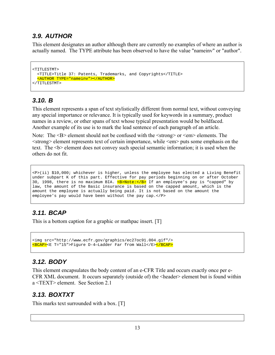# *3.9. AUTHOR*

This element designates an author although there are currently no examples of where an author is actually named. The TYPE attribute has been observed to have the value "nameinv" or "author".

```
<TITLESTMT> 
  <TITLE>Title 37: Patents, Trademarks, and Copyrights</TITLE> 
  <AUTHOR TYPE="nameinv"></AUTHOR> 
</TITLESTMT>
```
# *3.10. B*

This element represents a span of text stylistically different from normal text, without conveying any special importance or relevance. It is typically used for keywords in a summary, product names in a review, or other spans of text whose typical presentation would be boldfaced. Another example of its use is to mark the lead sentence of each paragraph of an article.

Note: The <B> element should not be confused with the  $\langle$ strong> or  $\langle$ em> elements. The  $\le$ trong> element represents text of certain importance, while  $\le$ em> puts some emphasis on the text. The  **element does not convey such special semantic information; it is used when the** others do not fit.

```
<P>(ii) $10,000; whichever is higher, unless the employee has elected a Living Benefit 
under subpart K of this part. Effective for pay periods beginning on or after October 
30, 1998, there is no maximum BIA. \leq B> Note: \lt/B> If an employee's pay is "capped" by
law, the amount of the Basic insurance is based on the capped amount, which is the 
amount the employee is actually being paid. It is not based on the amount the 
employee's pay would have been without the pay cap.</P>
```
# *3.11. BCAP*

This is a bottom caption for a graphic or mathpac insert. [T]

```
<img src="http://www.ecfr.gov/graphics/ec27oc91.004.gif"/> 
<BCAP><E T="15">Figure D-4—Ladder Far from Wall</E></BCAP>
```
# *3.12. BODY*

This element encapsulates the body content of an e-CFR Title and occurs exactly once per e-CFR XML document. It occurs separately (outside of) the <header> element but is found within a <TEXT> element. See Section 2.1

# *3.13. BOXTXT*

This marks text surrounded with a box. [T]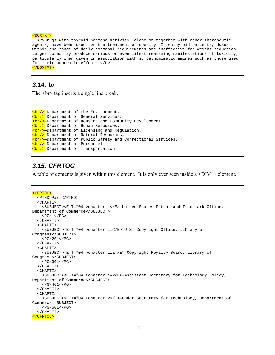```
<BOXTXT> 
   <P>Drugs with thyroid hormone activity, alone or together with other therapeutic 
agents, have been used for the treatment of obesity. In euthyroid patients, doses 
within the range of daily hormonal requirements are ineffective for weight reduction. 
Larger doses may produce serious or even life-threatening manifestations of toxicity, 
particularly when given in association with sympathomimetic amines such as those used 
for their anorectic effects.</P> 
</BOXTXT>
```
#### *3.14. br*

The  $\text{str}$  tag inserts a single line break.

```
<br/>—Department of the Environment. 
<br/>—Department of General Services. 
<br/>—Department of Housing and Community Development. 
<br/>—Department of Human Resources. 
<br/>—Department of Licensing and Regulation. 
<br/>—Department of Natural Resources. 
<br/>—Department of Public Safety and Correctional Services. 
<br/>—Department of Personnel. 
<br/>—Department of Transportation.
```
#### *3.15. CFRTOC*

A table of contents is given within this element. It is only ever seen inside a <DIV1> element.

```
<CFRTOC> 
   <PTHD>Part</PTHD> 
   <CHAPTI> 
     <SUBJECT><E T="04">chapter i</E>—United States Patent and Trademark Office, 
Department of Commerce</SUBJECT> 
    <PG>1</PG> </CHAPTI> 
   <CHAPTI> 
     <SUBJECT><E T="04">chapter ii</E>—U.S. Copyright Office, Library of 
Congress</SUBJECT> 
    <PG>201</PG>
   </CHAPTI> 
   <CHAPTI> 
     <SUBJECT><E T="04">chapter iii</E>—Copyright Royalty Board, Library of 
Congress</SUBJECT> 
    <PG>301</PG>
   </CHAPTI> 
   <CHAPTI> 
     <SUBJECT><E T="04">chapter iv</E>—Assistant Secretary for Technology Policy, 
Department of Commerce</SUBJECT> 
    <PG>401</PG>
   </CHAPTI> 
   <CHAPTI> 
     <SUBJECT><E T="04">chapter v</E>—Under Secretary for Technology, Department of 
Commerce</SUBJECT> 
    <PG>501</PG>
   </CHAPTI> 
</CFRTOC>
```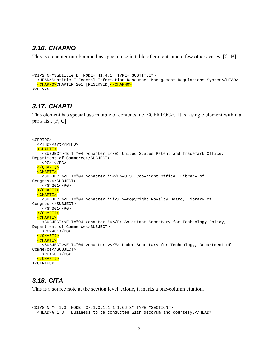#### *3.16. CHAPNO*

This is a chapter number and has special use in table of contents and a few others cases. [C, B]

```
<DIV2 N="Subtitle E" NODE="41:4.1" TYPE="SUBTITLE"> 
   <HEAD>Subtitle E—Federal Information Resources Management Regulations System</HEAD> 
   <CHAPNO>CHAPTER 201 [RESERVED]</CHAPNO> 
</DIV2>
```
#### *3.17. CHAPTI*

This element has special use in table of contents, i.e. <CFRTOC>. It is a single element within a parts list. [F, C]

```
<CFRTOC> 
   <PTHD>Part</PTHD> 
   <CHAPTI> 
     <SUBJECT><E T="04">chapter i</E>—United States Patent and Trademark Office, 
Department of Commerce</SUBJECT> 
    <PG>1</PG>
   </CHAPTI> 
   <CHAPTI> 
     <SUBJECT><E T="04">chapter ii</E>—U.S. Copyright Office, Library of 
Congress</SUBJECT> 
     <PG>201</PG> 
   </CHAPTI> 
   <CHAPTI> 
     <SUBJECT><E T="04">chapter iii</E>—Copyright Royalty Board, Library of 
Congress</SUBJECT> 
     <PG>301</PG> 
   </CHAPTI> 
   <CHAPTI> 
     <SUBJECT><E T="04">chapter iv</E>—Assistant Secretary for Technology Policy, 
Department of Commerce</SUBJECT> 
    <PG>401</PG>
   </CHAPTI> 
   <CHAPTI> 
     <SUBJECT><E T="04">chapter v</E>—Under Secretary for Technology, Department of 
Commerce</SUBJECT> 
    <PG>501</PG>
   </CHAPTI> 
</CFRTOC>
```
### *3.18. CITA*

This is a source note at the section level. Alone, it marks a one-column citation.

```
<DIV8 N="§ 1.3" NODE="37:1.0.1.1.1.1.66.3" TYPE="SECTION"> 
  <HEAD>§ 1.3 Business to be conducted with decorum and courtesy.</HEAD>
```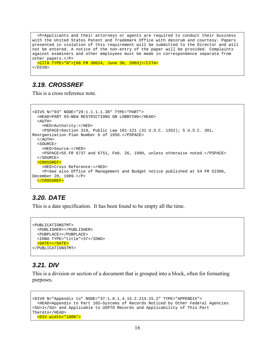```
 <P>Applicants and their attorneys or agents are required to conduct their business 
with the United States Patent and Trademark Office with decorum and courtesy. Papers 
presented in violation of this requirement will be submitted to the Director and will 
not be entered. A notice of the non-entry of the paper will be provided. Complaints 
against examiners and other employees must be made in correspondence separate from 
other papers.</P> 
   <CITA TYPE="N">[68 FR 38624, June 30, 2003]</CITA> 
</DIV8>
```
#### *3.19. CROSSREF*

This is a cross reference note.

```
<DIV5 N="93" NODE="29:1.1.1.1.38" TYPE="PART"> 
   <HEAD>PART 93—NEW RESTRICTIONS ON LOBBYING</HEAD> 
   <AUTH> 
     <HED>Authority:</HED> 
     <PSPACE>Section 319, Public Law 101-121 (31 U.S.C. 1352); 5 U.S.C. 301, 
Reorganization Plan Number 6 of 1950.</PSPACE> 
   </AUTH> 
   <SOURCE> 
     <HED>Source:</HED> 
     <PSPACE>55 FR 6737 and 6751, Feb. 26, 1990, unless otherwise noted.</PSPACE> 
   </SOURCE> 
   <CROSSREF> 
     <HED>Cross Reference:</HED> 
     <P>See also Office of Management and Budget notice published at 54 FR 52306, 
December 20, 1989.</P> 
   </CROSSREF>
```
#### *3.20. DATE*

This is a date specification. It has been found to be empty all the time.

```
<PUBLICATIONSTMT> 
   <PUBLISHER></PUBLISHER> 
   <PUBPLACE></PUBPLACE> 
   <IDNO TYPE="title">37</IDNO> 
   <DATE></DATE> 
</PUBLICATIONSTMT>
```
### *3.21. DIV*

This is a division or section of a document that is grouped into a block, often for formatting purposes.

```
<DIV9 N="Appendix to" NODE="37:1.0.1.4.15.2.214.15.2" TYPE="APPENDIX"> 
   <HEAD>Appendix to Part 102—Systems of Records Noticed by Other Federal Agencies 
<SU>1</SU> and Applicable to USPTO Records and Applicability of This Part 
Thereto</HEAD> 
   <DIV width="100%">
```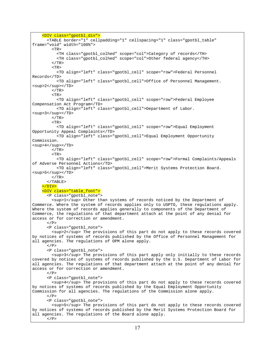```
 <DIV class="gpotbl_div"> 
       <TABLE border="1" cellpadding="1" cellspacing="1" class="gpotbl_table" 
frame="void" width="100%"> 
        T <TH class="gpotbl_colhed" scope="col">Category of records</TH> 
           <TH class="gpotbl_colhed" scope="col">Other federal agency</TH> 
        </TR><TR> <TD align="left" class="gpotbl_cell" scope="row">Federal Personnel 
Records</TD> 
           <TD align="left" class="gpotbl_cell">Office of Personnel Management. 
<sup>2</sup></TD>
        </TR><TR> <TD align="left" class="gpotbl_cell" scope="row">Federal Employee 
Compensation Act Program</TD> 
           <TD align="left" class="gpotbl_cell">Department of Labor. 
<sup>3</sup></TD>
        </TR><TR> <TD align="left" class="gpotbl_cell" scope="row">Equal Employment 
Opportunity Appeal Complaints</TD> 
           <TD align="left" class="gpotbl_cell">Equal Employment Opportunity 
Commission. 
<sup>4</sup></TD> 
        </TR><TR> <TD align="left" class="gpotbl_cell" scope="row">Formal Complaints/Appeals 
of Adverse Personnel Actions</TD> 
           <TD align="left" class="gpotbl_cell">Merit Systems Protection Board. 
<sup>5</sup></TD>
        </TR> </TABLE> 
    \langleDIV>
     <DIV class="table_foot"> 
       <P class="gpotbl_note"> 
         <sup>1</sup> Other than systems of records noticed by the Department of 
Commerce. Where the system of records applies only to USPTO, these regulations apply. 
Where the system of records applies generally to components of the Department of 
Commerce, the regulations of that department attach at the point of any denial for 
access or for correction or amendment. 
      \langle/P>
       <P class="gpotbl_note"> 
         <sup>2</sup> The provisions of this part do not apply to these records covered 
by notices of systems of records published by the Office of Personnel Management for 
all agencies. The regulations of OPM alone apply. 
      </P>
       <P class="gpotbl_note"> 
         <sup>3</sup> The provisions of this part apply only initially to these records 
covered by notices of systems of records published by the U.S. Department of Labor for 
all agencies. The regulations of that department attach at the point of any denial for 
access or for correction or amendment. 
      \langle/P>
       <P class="gpotbl_note"> 
         <sup>4</sup> The provisions of this part do not apply to these records covered 
by notices of systems of records published by the Equal Employment Opportunity 
Commission for all agencies. The regulations of the Commission alone apply. 
      </P>
       <P class="gpotbl_note"> 
         <sup>5</sup> The provisions of this part do not apply to these records covered 
by notices of systems of records published by the Merit Systems Protection Board for 
all agencies. The regulations of the Board alone apply. 
      </P>
```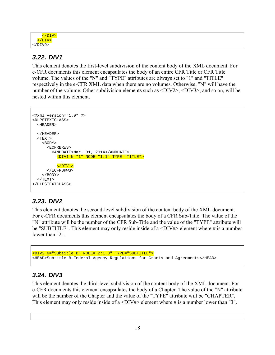|  | $\langle$ /DIV> |  |
|--|-----------------|--|
|  |                 |  |
|  |                 |  |

# *3.22. DIV1*

This element denotes the first-level subdivision of the content body of the XML document. For e-CFR documents this element encapsulates the body of an entire CFR Title or CFR Title volume. The values of the "N" and "TYPE" attributes are always set to "1" and "TITLE" respectively in the e-CFR XML data when there are no volumes. Otherwise, "N" will have the number of the volume. Other subdivision elements such as  $\langle \text{DIV3} \rangle$ ,  $\langle \text{DIV3} \rangle$ , and so on, will be nested within this element.

```
<?xml version="1.0" ?> 
<DLPSTEXTCLASS> 
  <HEADER> 
 </HEADER>
  <TEXT> 
     <BODY> 
       <ECFRBRWS> 
         <AMDDATE>Mar. 31, 2014</AMDDATE> 
           <DIV1 N="1" NODE="1:1" TYPE="TITLE"> 
 … 
          </DIV1>
       </ECFRBRWS> 
     </BODY> 
  </TEXT>
</DLPSTEXTCLASS>
```
# *3.23. DIV2*

This element denotes the second-level subdivision of the content body of the XML document. For e-CFR documents this element encapsulates the body of a CFR Sub-Title. The value of the "N" attribute will be the number of the CFR Sub-Title and the value of the "TYPE" attribute will be "SUBTITLE". This element may only reside inside of a  $\langle$ DIV# $\rangle$  element where # is a number lower than "2"

```
<DIV2 N="Subtitle B" NODE="2:1.3" TYPE="SUBTITLE"> 
<HEAD>Subtitle B-Federal Agency Regulations for Grants and Agreements</HEAD>
```
# *3.24. DIV3*

This element denotes the third-level subdivision of the content body of the XML document. For e-CFR documents this element encapsulates the body of a Chapter. The value of the "N" attribute will be the number of the Chapter and the value of the "TYPE" attribute will be "CHAPTER". This element may only reside inside of a  $\langle$ DIV# $\rangle$  element where # is a number lower than "3".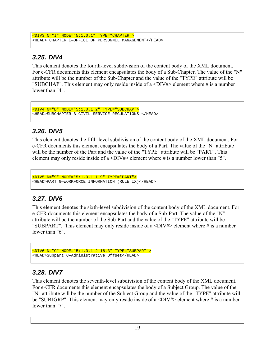```
<DIV3 N="I" NODE="5:1.0.1" TYPE="CHAPTER"> 
<HEAD> CHAPTER I—OFFICE OF PERSONNEL MANAGEMENT</HEAD>
```
# *3.25. DIV4*

This element denotes the fourth-level subdivision of the content body of the XML document. For e-CFR documents this element encapsulates the body of a Sub-Chapter. The value of the "N" attribute will be the number of the Sub-Chapter and the value of the "TYPE" attribute will be "SUBCHAP". This element may only reside inside of a  $\langle$ DIV# $\rangle$  element where # is a number lower than "4".

```
<DIV4 N="B" NODE="5:1.0.1.2" TYPE="SUBCHAP"> 
<HEAD>SUBCHAPTER B—CIVIL SERVICE REGULATIONS </HEAD>
```
# *3.26. DIV5*

This element denotes the fifth-level subdivision of the content body of the XML document. For e-CFR documents this element encapsulates the body of a Part. The value of the "N" attribute will be the number of the Part and the value of the "TYPE" attribute will be "PART". This element may only reside inside of a  $\langle$ DIV# $\rangle$  element where # is a number lower than "5".

```
<DIV5 N="9" NODE="5:1.0.1.1.9" TYPE="PART"> 
<HEAD>PART 9—WORKFORCE INFORMATION (RULE IX)</HEAD>
```
# *3.27. DIV6*

This element denotes the sixth-level subdivision of the content body of the XML document. For e-CFR documents this element encapsulates the body of a Sub-Part. The value of the "N" attribute will be the number of the Sub-Part and the value of the "TYPE" attribute will be "SUBPART". This element may only reside inside of a  $\langle$ DIV# $\rangle$  element where # is a number lower than "6".

```
<DIV6 N="C" NODE="5:1.0.1.2.16.3" TYPE="SUBPART"> 
<HEAD>Subpart C—Administrative Offset</HEAD>
```
# *3.28. DIV7*

This element denotes the seventh-level subdivision of the content body of the XML document. For e-CFR documents this element encapsulates the body of a Subject Group. The value of the "N" attribute will be the number of the Subject Group and the value of the "TYPE" attribute will be "SUBJGRP". This element may only reside inside of a  $\langle$ DIV# $\rangle$  element where # is a number lower than "7".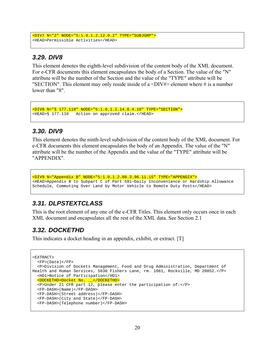```
<DIV7 N="2" NODE="5:1.0.1.2.12.0.2" TYPE="SUBJGRP"> 
<HEAD>Permissible Activities</HEAD>
```
### *3.29. DIV8*

This element denotes the eighth-level subdivision of the content body of the XML document. For e-CFR documents this element encapsulates the body of a Section. The value of the "N" attribute will be the number of the Section and the value of the "TYPE" attribute will be "SECTION". This element may only reside inside of a  $\langle$ DIV# $\rangle$  element where # is a number lower than "8".

```
<DIV8 N="§ 177.110" NODE="5:1.0.1.2.14.0.4.10" TYPE="SECTION"> 
<HEAD>§ 177.110 Action on approved claim.</HEAD>
```
#### *3.30. DIV9*

This element denotes the ninth-level subdivision of the content body of the XML document. For e-CFR documents this element encapsulates the body of an Appendix. The value of the "N" attribute will be the number of the Appendix and the value of the "TYPE" attribute will be "APPENDIX".

<DIV9 N="Appendix B" NODE="5:1.0.1.2.80.3.96.11.15" TYPE="APPENDIX"> <HEAD>Appendix B to Subpart C of Part 591—Daily Inconvenience or Hardship Allowance Schedule, Commuting Over Land by Motor Vehicle to Remote Duty Posts</HEAD>

### *3.31. DLPSTEXTCLASS*

This is the root element of any one of the e-CFR Titles. This element only occurs once in each XML document and encapsulates all the rest of the XML data. See Section 2.1

### *3.32. DOCKETHD*

This indicates a docket heading in an appendix, exhibit, or extract. [T]

```
<EXTRACT> 
   <FP>(Date)</FP> 
   <P>Division of Dockets Management, Food and Drug Administration, Department of 
Health and Human Services, 5630 Fishers Lane, rm. 1061, Rockville, MD 20852.</P> 
   <HD1>Notice of Participation</HD1> 
   <DOCKETHD>Docket No. __</DOCKETHD> 
   <P>Under 21 CFR part 12, please enter the participation of:</P> 
   <FP-DASH>(Name)</FP-DASH> 
   <FP-DASH>(Street address)</FP-DASH> 
   <FP-DASH>(City and State)</FP-DASH> 
   <FP-DASH>(Telephone number)</FP-DASH>
```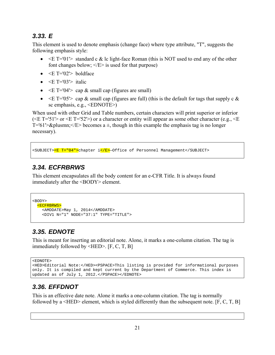# *3.33. E*

This element is used to denote emphasis (change face) where type attribute, "T", suggests the following emphasis style:

- $\bullet \leq E$  T='01'> standard c & lc light-face Roman (this is NOT used to end any of the other font changes below;  $\langle E \rangle$  is used for that purpose)
- $\bullet \quad \leq E$  T='02'> boldface
- $\bullet \quad \leq E$  T='03'> italic
- $\bullet \quad \leq E$  T='04'> cap & small cap (figures are small)
- $\bullet$   $\leq$  E T='05'> cap & small cap (figures are full) (this is the default for tags that supply c & sc emphasis, e.g., <EDNOTE>)

When used with other Grid and Table numbers, certain characters will print superior or inferior ( $\leq$ E T='51'> or  $\leq$ E T='52'>) or a character or entity will appear as some other character (e.g.,  $\leq$ E T='61'>± $\le$ /E> becomes a  $\pm$ , though in this example the emphasis tag is no longer necessary).

<SUBJECT><E T="04">chapter i</E>—Office of Personnel Management</SUBJECT>

# *3.34. ECFRBRWS*

This element encapsulates all the body content for an e-CFR Title. It is always found immediately after the <BODY> element.

```
<BODY> 
   <ECFRBRWS> 
     <AMDDATE>May 1, 2014</AMDDATE> 
     <DIV1 N="1" NODE="37:1" TYPE="TITLE">
```
# *3.35. EDNOTE*

This is meant for inserting an editorial note. Alone, it marks a one-column citation. The tag is immediately followed by <HED>. [F, C, T, B]

```
<EDNOTE>
```

```
<HED>Editorial Note:</HED><PSPACE>This listing is provided for informational purposes 
only. It is compiled and kept current by the Department of Commerce. This index is 
updated as of July 1, 2012.</PSPACE></EDNOTE>
```
# *3.36. EFFDNOT*

This is an effective date note. Alone it marks a one-column citation. The tag is normally followed by a  $\leq$ HED $\geq$  element, which is styled differently than the subsequent note. [F, C, T, B]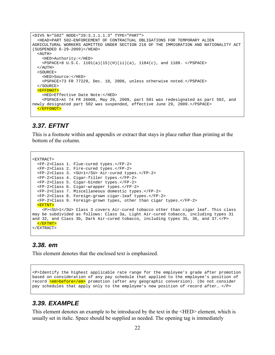```
<DIV5 N="502" NODE="29:3.1.1.1.3" TYPE="PART"> 
   <HEAD>PART 502—ENFORCEMENT OF CONTRACTUAL OBLIGATIONS FOR TEMPORARY ALIEN 
AGRICULTURAL WORKERS ADMITTED UNDER SECTION 218 OF THE IMMIGRATION AND NATIONALITY ACT 
(SUSPENDED 6-29-2009)</HEAD> 
  <ATITH> <HED>Authority:</HED> 
    \text{PSPACE} > 8 \text{ U.S.C. } 1101(a)(15)(H)(ii)(a), 1184(c), and 1188. \text{S/PSPACE} </AUTH> 
   <SOURCE> 
     <HED>Source:</HED> 
     <PSPACE>73 FR 77229, Dec. 18, 2008, unless otherwise noted.</PSPACE> 
   </SOURCE> 
   <EFFDNOT> 
     <HED>Effective Date Note:</HED> 
     <PSPACE>At 74 FR 26008, May 29, 2009, part 501 was redesignated as part 502, and 
newly designated part 502 was suspended, effective June 29, 2009.</PSPACE> 
   </EFFDNOT>
```
#### *3.37. EFTNT*

This is a footnote within and appendix or extract that stays in place rather than printing at the bottom of the column.

```
<EXTRACT> 
   <FP-2>Class 1. Flue-cured types.</FP-2> 
   <FP-2>Class 2. Fire-cured types.</FP-2> 
   <FP-2>Class 3. <SU>1</SU> Air-cured types.</FP-2> 
   <FP-2>Class 4. Cigar-filler types.</FP-2> 
   <FP-2>Class 5. Cigar-binder types.</FP-2> 
   <FP-2>Class 6. Cigar-wrapper types.</FP-2> 
   <FP-2>Class 7. Miscellaneous domestic types.</FP-2> 
   <FP-2>Class 8. Foreign-grown cigar-leaf types.</FP-2> 
   <FP-2>Class 9. Foreign-grown types, other than cigar types.</FP-2> 
   <EFTNT> 
     <P><SU>1</SU> Class 3 covers Air-cured tobacco other than cigar leaf. This class 
may be subdivided as follows: Class 3a, Light Air-cured tobacco, including types 31 
and 32, and Class 3b, Dark Air-cured tobacco, including types 35, 36, and 37.</P> 
   </EFTNT> 
</EXTRACT>
```
#### *3.38. em*

This element denotes that the enclosed text is emphasized.

<P>Identify the highest applicable rate range for the employee's grade after promotion based on consideration of any pay schedule that applied to the employee's position of record <em>before</em> promotion (after any geographic conversion). (Do not consider pay schedules that apply only to the employee's new position of record after… </P>

#### *3.39. EXAMPLE*

This element denotes an example to be introduced by the text in the <HED> element, which is usually set in italic. Space should be supplied as needed. The opening tag is immediately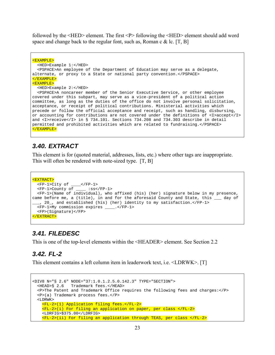followed by the <HED> element. The first <P> following the <HED> element should add word space and change back to the regular font, such as, Roman c  $\&$  lc. [T, B]

```
<EXAMPLE> 
   <HED>Example 1:</HED> 
   <PSPACE>An employee of the Department of Education may serve as a delegate, 
alternate, or proxy to a State or national party convention.</PSPACE> 
</EXAMPLE> 
<EXAMPLE> 
   <HED>Example 2:</HED> 
   <PSPACE>A noncareer member of the Senior Executive Service, or other employee 
covered under this subpart, may serve as a vice-president of a political action 
committee, as long as the duties of the office do not involve personal solicitation, 
acceptance, or receipt of political contributions. Ministerial activities which 
precede or follow the official acceptance and receipt, such as handling, disbursing, 
or accounting for contributions are not covered under the definitions of <I>accept</I> 
and <I>receive</I> in § 734.101. Sections 734.208 and 734.303 describe in detail 
permitted and prohibited activities which are related to fundraising.</PSPACE> 
</EXAMPLE>
```
#### *3.40. EXTRACT*

This element is for (quoted material, addresses, lists, etc.) where other tags are inappropriate. This will often be rendered with note-sized type. [T, B]

```
<EXTRACT> 
   <FP-1>City of ____</FP-1> 
   <FP-1>County of ____ :ss</FP-1> 
   <FP-1>(Name of individual), who affixed (his) (her) signature below in my presence, 
came before me, a (title), in and for the aforesaid County and State, this ___ day of 
  ___, 20_, and established (his) (her) identity to my satisfaction.</FP-1> 
   <FP-1>My commission expires ____.</FP-1> 
   <FP>(Signature)</FP> 
</EXTRACT>
```
### *3.41. FILEDESC*

This is one of the top-level elements within the <HEADER> element. See Section 2.2

#### *3.42. FL-2*

This element contains a left column item in leaderwork text, i.e. <LDRWK>. [T]

```
<DIV8 N="§ 2.6" NODE="37:1.0.1.2.5.0.142.3" TYPE="SECTION"> 
  <HEAD>§ 2.6 Trademark fees.</HEAD> 
  <P>The Patent and Trademark Office requires the following fees and charges:</P> 
  <P>(a) Trademark process fees.</P> 
  <LDRWK> <FL-2>(1) Application filing fees.</FL-2> 
     <FL-2>(i) For filing an application on paper, per class </FL-2> 
     <LDRFIG>$375.00</LDRFIG> 
     <FL-2>(ii) For filing an application through TEAS, per class </FL-2>
```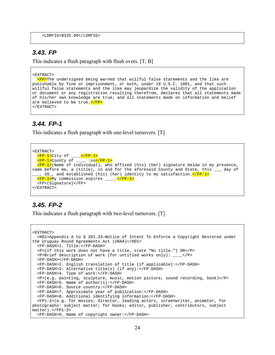```
 <LDRFIG>$325.00</LDRFIG>
```
#### *3.43. FP*

This indicates a flush paragraph with flush overs. [T, B]

#### <EXTRACT>

**<FP>**The undersigned being warned that willful false statements and the like are punishable by fine or imprisonment, or both, under 18 U.S.C. 1001, and that such willful false statements and the like may jeopardize the validity of the application or document or any registration resulting therefrom, declares that all statements made of his/her own knowledge are true; and all statements made on information and belief are believed to be true. </FP> </EXTRACT>

### *3.44. FP-1*

This indicates a flush paragraph with one-level turnovers. [T]

```
<EXTRACT> 
   <FP-1>City of ____</FP-1> 
   <FP-1>County of ____ :ss</FP-1> 
  \texttt{FFP-1>}(Name of individual), who affixed (his) (her) signature below in my presence,
came before me, a (title), in and for the aforesaid County and State, this ___ day of
   , 20_, and established (his) (her) identity to my satisfaction.<mark></FP-1></mark>
   <FP-1>My commission expires ____.</FP-1> 
   <FP>(Signature)</FP> 
</EXTRACT>
```
### *3.45. FP-2*

This indicates a flush paragraph with two-level turnovers. [T]

```
<EXTRACT> 
   <HD1>Appendix A to § 201.33—Notice of Intent To Enforce a Copyright Restored under 
the Uruguay Round Agreements Act (URAA)</HD1> 
   <FP-DASH>1. Title:</FP-DASH> 
   <P>(If this work does not have a title, state "No title.") OR</P> 
   <P>Brief description of work (for untitled works only): ____</P> 
   <FP-DASH></FP-DASH> 
   <FP-DASH>2. English translation of title (if applicable):</FP-DASH> 
   <FP-DASH>3. Alternative title(s) (if any):</FP-DASH> 
   <FP-DASH>4. Type of work:</FP-DASH> 
   <P>(e.g. painting, sculpture, music, motion picture, sound recording, book)</P> 
   <FP-DASH>5. Name of author(s):</FP-DASH> 
   <FP-DASH>6. Source country:</FP-DASH> 
   <FP-DASH>7. Approximate year of publication:</FP-DASH> 
   <FP-DASH>8. Additional identifying information:</FP-DASH> 
   <FP1-2>(e.g. for movies; director, leading actors, screenwriter, animator, for 
photographs: subject matter; for books; editor, publisher, contributors, subject 
matter).</FP1-2> 
   <FP-DASH>9. Name of copyright owner:</FP-DASH>
```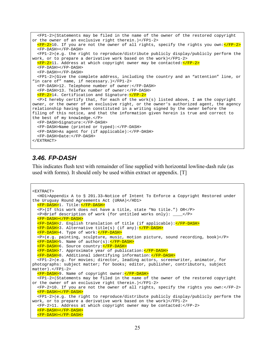```
 <FP1-2>(Statements may be filed in the name of the owner of the restored copyright 
or the owner of an exclusive right therein.)</FP1-2> 
  \leqFP-2>10. If you are not the owner of all rights, specify the rights you own:\leq/FP-2>
   <FP-DASH></FP-DASH> 
   <FP1-2>(e.g. the right to reproduce/distribute publicly display/publicly perform the 
work, or to prepare a derivative work based on the work)</FP1-2> 
   <FP-2>11. Address at which copyright owner may be contacted:</FP-2> 
   <FP-DASH></FP-DASH> 
   <FP-DASH></FP-DASH> 
   <FP1-2>(Give the complete address, including the country and an "attention" line, or 
"in care of" name, if necessary.)</FP1-2> 
   <FP-DASH>12. Telephone number of owner:</FP-DASH> 
   <FP-DASH>13. Telefax number of owner:</FP-DASH> 
   <FP-2>14. Certification and Signature:</FP-2> 
  p>1 hereby certify that, for each of the work(s) listed above, I am the copyright
owner, or the owner of an exclusive right, or the owner's authorized agent, the agency 
relationship having been constituted in a writing signed by the owner before the 
filing of this notice, and that the information given herein is true and correct to 
the best of my knowledge.</P> 
   <FP-DASH>Signature:</FP-DASH> 
   <FP-DASH>Name (printed or typed):</FP-DASH> 
   <FP-DASH>As agent for (if applicable):</FP-DASH> 
   <FP-DASH>Date:</FP-DASH> 
</EXTRACT>
```
#### *3.46. FP-DASH*

This indicates flush text with remainder of line supplied with horizontal lowline-dash rule (as used with forms). It should only be used within extract or appendix. [T]

```
<EXTRACT> 
   <HD1>Appendix A to § 201.33—Notice of Intent To Enforce a Copyright Restored under 
the Uruguay Round Agreements Act (URAA)</HD1> 
   <FP-DASH>1. Title:</FP-DASH> 
   <P>(If this work does not have a title, state "No title.") OR</P> 
   <P>Brief description of work (for untitled works only): ____</P> 
   <FP-DASH></FP-DASH> 
   <FP-DASH>2. English translation of title (if applicable):</FP-DASH> 
   <FP-DASH>3. Alternative title(s) (if any):</FP-DASH> 
   <FP-DASH>4. Type of work:</FP-DASH> 
   <P>(e.g. painting, sculpture, music, motion picture, sound recording, book)</P> 
   <FP-DASH>5. Name of author(s):</FP-DASH> 
   <FP-DASH>6. Source country:</FP-DASH> 
   <FP-DASH>7. Approximate year of publication:</FP-DASH> 
   <FP-DASH>8. Additional identifying information:</FP-DASH> 
   <FP1-2>(e.g. for movies; director, leading actors, screenwriter, animator, for 
photographs: subject matter; for books; editor, publisher, contributors, subject 
matter).</FP1-2> 
   <FP-DASH>9. Name of copyright owner:</FP-DASH> 
   <FP1-2>(Statements may be filed in the name of the owner of the restored copyright 
or the owner of an exclusive right therein.)</FP1-2> 
   <FP-2>10. If you are not the owner of all rights, specify the rights you own:</FP-2> 
   <FP-DASH></FP-DASH> 
   <FP1-2>(e.g. the right to reproduce/distribute publicly display/publicly perform the 
work, or to prepare a derivative work based on the work)</FP1-2> 
   <FP-2>11. Address at which copyright owner may be contacted:</FP-2> 
   <FP-DASH></FP-DASH> 
   <FP-DASH></FP-DASH>
```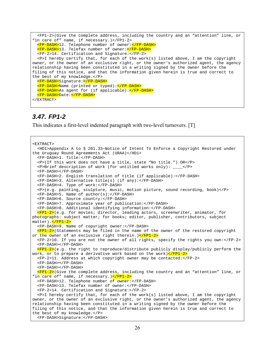```
 <FP1-2>(Give the complete address, including the country and an "attention" line, or 
"in care of" name, if necessary.)</FP1-2> 
   <FP-DASH>12. Telephone number of owner:</FP-DASH> 
   <FP-DASH>13. Telefax number of owner:</FP-DASH> 
   <FP-2>14. Certification and Signature:</FP-2> 
   <P>I hereby certify that, for each of the work(s) listed above, I am the copyright 
owner, or the owner of an exclusive right, or the owner's authorized agent, the agency 
relationship having been constituted in a writing signed by the owner before the 
filing of this notice, and that the information given herein is true and correct to 
the best of my knowledge.</P> 
   <FP-DASH>Signature:</FP-DASH> 
   <FP-DASH>Name (printed or typed):</FP-DASH> 
   <FP-DASH>As agent for (if applicable):</FP-DASH> 
   <FP-DASH>Date:</FP-DASH> 
</EXTRACT>
```
#### *3.47. FP1-2*

This indicates a first-level indented paragraph with two-level turnovers. [T]

```
<EXTRACT> 
   <HD1>Appendix A to § 201.33—Notice of Intent To Enforce a Copyright Restored under 
the Uruguay Round Agreements Act (URAA)</HD1> 
   <FP-DASH>1. Title:</FP-DASH> 
   <P>(If this work does not have a title, state "No title.") OR</P> 
  \langle P\rangle-Brief description of work (for untitled works only): \langle P\rangle <FP-DASH></FP-DASH> 
   <FP-DASH>2. English translation of title (if applicable):</FP-DASH> 
   <FP-DASH>3. Alternative title(s) (if any):</FP-DASH> 
   <FP-DASH>4. Type of work:</FP-DASH> 
   <P>(e.g. painting, sculpture, music, motion picture, sound recording, book)</P> 
   <FP-DASH>5. Name of author(s):</FP-DASH> 
   <FP-DASH>6. Source country:</FP-DASH> 
   <FP-DASH>7. Approximate year of publication:</FP-DASH> 
   <FP-DASH>8. Additional identifying information:</FP-DASH> 
   <FP1-2>(e.g. for movies; director, leading actors, screenwriter, animator, for 
photographs: subject matter; for books; editor, publisher, contributors, subject 
matter). </FP1-2>
   <FP-DASH>9. Name of copyright owner:</FP-DASH> 
   <FP1-2>(Statements may be filed in the name of the owner of the restored copyright 
or the owner of an exclusive right therein.)\langleFP1-2>
   <FP-2>10. If you are not the owner of all rights, specify the rights you own:</FP-2> 
   <FP-DASH></FP-DASH> 
   <FP1-2>(e.g. the right to reproduce/distribute publicly display/publicly perform the 
work, or to prepare a derivative work based on the work)</FP1-2>
   <FP-2>11. Address at which copyright owner may be contacted:</FP-2> 
   <FP-DASH></FP-DASH> 
   <FP-DASH></FP-DASH> 
  pFP1-2>(Give the complete address, including the country and an "attention" line, or
"in care of" name, if necessary.) </FP1-2>
   <FP-DASH>12. Telephone number of owner:</FP-DASH> 
   <FP-DASH>13. Telefax number of owner:</FP-DASH> 
   <FP-2>14. Certification and Signature:</FP-2> 
   <P>I hereby certify that, for each of the work(s) listed above, I am the copyright 
owner, or the owner of an exclusive right, or the owner's authorized agent, the agency 
relationship having been constituted in a writing signed by the owner before the 
filing of this notice, and that the information given herein is true and correct to 
the best of my knowledge.</P> 
   <FP-DASH>Signature:</FP-DASH>
```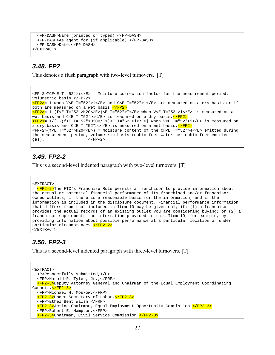```
 <FP-DASH>Name (printed or typed):</FP-DASH> 
   <FP-DASH>As agent for (if applicable):</FP-DASH> 
   <FP-DASH>Date:</FP-DASH> 
</EXTRACT>
```
#### *3.48. FP2*

This denotes a flush paragraph with two-level turnovers. [T]

```
<FP-2>MCF<E T="52">i</E> = Moisture correction factor for the measurement period, 
volumetric basis.</FP-2> 
\langleFP2>= 1 when V<E T="52">i</E> and C<E T="52">i</E> are measured on a dry basis or if
both are measured on a wet basis. </FP2>
\langleFP2>= 1-(f<E T="52">H2O</E>)<E T="52">I</E> when V<E T="52">i</E> is measured on a
wet basis and C < E T="52">i</E> is measured on a dry basis.\langleFP2>
\langleFP2>= 1/[1-(f<E T="52">H2O</E>)<E T="52">i</E>] when V<E T="52">i</E> is measured on
a dry basis and C < E T="52">i</E> is measured on a wet basis.\langle/FP2>
<FP-2>(f<E T="52">H2O</E>) = Moisture content of the CH<E T="52">4</E> emitted during 
the measurement period, volumetric basis (cubic feet water per cubic feet emitted 
\cos). \cos /FP-2>
```
#### *3.49. FP2-2*

This is a second-level indented paragraph with two-level turnovers. [T]

```
<EXTRACT>
```

```
 <FP2-2>The FTC's Franchise Rule permits a franchisor to provide information about 
the actual or potential financial performance of its franchised and/or franchisor-
owned outlets, if there is a reasonable basis for the information, and if the 
information is included in the disclosure document. Financial performance information 
that differs from that included in Item 19 may be given only if: (1) a franchisor 
provides the actual records of an existing outlet you are considering buying; or (2) a 
franchisor supplements the information provided in this Item 19, for example, by 
providing information about possible performance at a particular location or under 
particular circumstances.</FP2-2> 
</EXTRACT>
```
### *3.50. FP2-3*

This is a second-level indented paragraph with three-level turnovers. [T]

```
<EXTRACT> 
   <P>Respectfully submitted,</P> 
   <FRP>Harold R. Tyler, Jr.,</FRP> 
   <FP2-3>Deputy Attorney General and Chairman of the Equal Employment Coordinating 
Council.</FP2-3> 
   <FRP>Michael H. Moskow,</FRP> 
   <FP2-3>Under Secretary of Labor.</FP2-3> 
   <FRP>Ethel Bent Walsh,</FRP> 
   <FP2-3>Acting Chairman, Equal Employment Opportunity Commission.</FP2-3> 
   <FRP>Robert E. Hampton,</FRP> 
   <FP2-3>Chairman, Civil Service Commission.</FP2-3>
```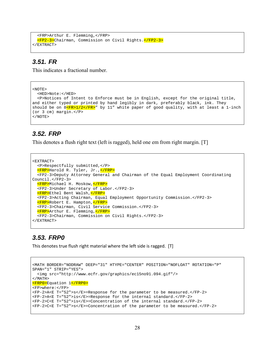```
 <FRP>Arthur E. Flemming,</FRP> 
   <FP2-3>Chairman, Commission on Civil Rights.</FP2-3> 
</EXTRACT>
```
#### *3.51. FR*

This indicates a fractional number.

```
<NOTE> 
  <HED>Note:</HED> 
  <P>Notices of Intent to Enforce must be in English, except for the original title, 
and either typed or printed by hand legibly in dark, preferably black, ink. They 
should be on 8 <u>KFR>1/2</FR></u>" by 11" white paper of good quality, with at least a 1-inch
(or 3 cm) margin.</P> 
</NOTE>
```
### *3.52. FRP*

This denotes a flush right text (left is ragged), held one em from right margin. [T]

```
<EXTRACT> 
   <P>Respectfully submitted,</P> 
   <FRP>Harold R. Tyler, Jr.,</FRP> 
   <FP2-3>Deputy Attorney General and Chairman of the Equal Employment Coordinating 
Council.</FP2-3> 
   <FRP>Michael H. Moskow,</FRP> 
   <FP2-3>Under Secretary of Labor.</FP2-3> 
   <FRP>Ethel Bent Walsh,</FRP> 
   <FP2-3>Acting Chairman, Equal Employment Opportunity Commission.</FP2-3> 
   <FRP>Robert E. Hampton,</FRP> 
   <FP2-3>Chairman, Civil Service Commission.</FP2-3> 
   <FRP>Arthur E. Flemming,</FRP> 
   <FP2-3>Chairman, Commission on Civil Rights.</FP2-3> 
</EXTRACT>
```
### *3.53. FRP0*

This denotes true flush right material where the left side is ragged. [T]

```
<MATH BORDER="NODRAW" DEEP="31" HTYPE="CENTER" POSITION="NOFLOAT" ROTATION="P" 
SPAN="1" STRIP="YES"> 
  <img src="http://www.ecfr.gov/graphics/ec15no91.094.gif"/> 
</MATH> 
<FRP0>Equation 1</FRP0> 
<FP>where:</FP> 
<FP-2>A<E T="52">s</E>=Response for the parameter to be measured.</FP-2> 
<FP-2>A<E T="52">is</E>=Response for the internal standard.</FP-2> 
<FP-2>C<E T="52">is</E>=Concentration of the internal standard.</FP-2> 
<FP-2>C<E T="52">s</E>=Concentration of the parameter to be measured.</FP-2>
```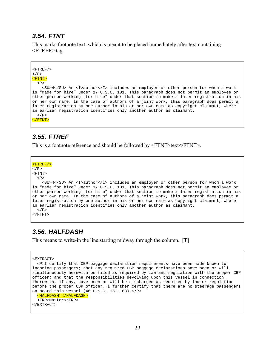#### *3.54. FTNT*

This marks footnote text, which is meant to be placed immediately after text containing  $\langle$ FTREF $>$  tag.

```
<FTREF/>
\langle/P>
<FTNT> 
  P <SU>4</SU> An <I>author</I> includes an employer or other person for whom a work 
is "made for hire" under 17 U.S.C. 101. This paragraph does not permit an employee or 
other person working "for hire" under that section to make a later registration in his 
or her own name. In the case of authors of a joint work, this paragraph does permit a 
later registration by one author in his or her own name as copyright claimant, where 
an earlier registration identifies only another author as claimant. 
  \langle/P>
</FTNT>
```
#### *3.55. FTREF*

This is a footnote reference and should be followed by <FTNT>text</FTNT>.

```
<FTREF/>\langle/P>
<FTNT> 
  P <SU>4</SU> An <I>author</I> includes an employer or other person for whom a work 
is "made for hire" under 17 U.S.C. 101. This paragraph does not permit an employee or 
other person working "for hire" under that section to make a later registration in his 
or her own name. In the case of authors of a joint work, this paragraph does permit a 
later registration by one author in his or her own name as copyright claimant, where 
an earlier registration identifies only another author as claimant. 
 \langle/P>
</FTNT>
```
### *3.56. HALFDASH*

This means to write-in the line starting midway through the column. [T]

```
<EXTRACT>
```

```
 <P>I certify that CBP baggage declaration requirements have been made known to 
incoming passengers; that any required CBP baggage declarations have been or will 
simultaneously herewith be filed as required by law and regulation with the proper CBP 
officer; and that the responsibilities devolving upon this vessel in connection 
therewith, if any, have been or will be discharged as required by law or regulation 
before the proper CBP officer. I further certify that there are no steerage passengers 
on board this vessel (46 U.S.C. 151-163).</P> 
    <HALFDASH></HALFDASH> 
   <FRP>Master</FRP>
```

```
</EXTRACT>
```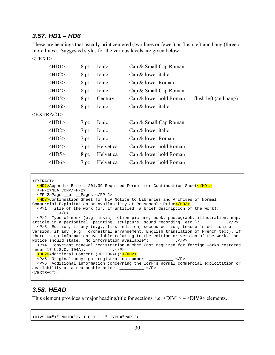### *3.57. HD1 – HD6*

These are headings that usually print centered (two lines or fewer) or flush left and hang (three or more lines). Suggested styles for the various levels are given below:

#### <TEXT>:

| $\langle$ HD1>        | 8 pt. | Ionic     | Cap & Small Cap Roman  |                       |
|-----------------------|-------|-----------|------------------------|-----------------------|
| $<$ HD2>              | 8 pt. | Ionic     | Cap $&$ lower italic   |                       |
| $<$ HD3>              | 8 pt. | Ionic     | Cap & lower Roman      |                       |
| $<$ HD4 $>$           | 8 pt. | Ionic     | Cap & Small Cap Roman  |                       |
| $\langle HD5 \rangle$ | 8 pt. | Century   | Cap & lower bold Roman | flush left (and hang) |
| $<$ HD6>              | 8 pt. | Ionic     | $Cap & lower$ italic   |                       |
| <extract>:</extract>  |       |           |                        |                       |
| $\langle$ HD1>        | 7 pt. | Ionic     | Cap & Small Cap Roman  |                       |
| $<$ HD2>              | 7 pt. | Ionic     | Cap $&$ lower italic   |                       |
| $<$ HD3>              | 7 pt. | Ionic     | Cap & lower Roman      |                       |
| $<$ HD4>              | 7 pt. | Helvetica | Cap & lower bold Roman |                       |
| $<$ HD5>              | 8 pt. | Helvetica | Cap & lower bold Roman |                       |
| $\langle$ HD6>        | 7 pt. | Helvetica | Cap & lower bold Roman |                       |
|                       |       |           |                        |                       |

```
<EXTRACT> 
  $\mu_{\rm{MD1>}}$Appendix B to § 201.39-Required Format for Continuation Sheet$\mu_{\rm{MD1>}}$ <FP-2>NLA CON</FP-2> 
   <FP-2>Page __of __Pages.</FP-2> 
   <HD3>Continuation Sheet for NLA Notice to Libraries and Archives of Normal 
Commercial Exploitation or Availability at Reasonable Price</HD3>
   <P>1. Title of the work (or, if untitled, a brief description of the work): 
         _.</P>
   <P>2. Type of work (e.g. music, motion picture, book, photograph, illustration, map, 
article in a periodical, painting, sculpture, sound recording, etc.): __________.</P>
   <P>3. Edition, if any (e.g., first edition, second edition, teacher's edition) or 
version, if any (e.g., orchestral arrangement, English translation of French text). If 
there is no information available relating to the edition or version of the work, the 
Notice should state, "No information available": __________.</P> 
  <P>4. Copyright renewal registration number (not required for foreign works restored 
under 17 U.S.C. 104A): __________.</P>
   <HD2>Additional Content (OPTIONAL):</HD2> 
   <P>5. Original copyright registration number: __________.</P> 
   <P>6. Additional information concerning the work's normal commercial exploitation or 
availability at a reasonable price: __________.</P> 
</EXTRACT>
```
# *3.58. HEAD*

This element provides a major heading/title for sections, i.e.  $\langle DIV1 \rangle$  –  $\langle DIV9 \rangle$  elements.

```
<DIV5 N="1" NODE="37:1.0.1.1.1" TYPE="PART">
```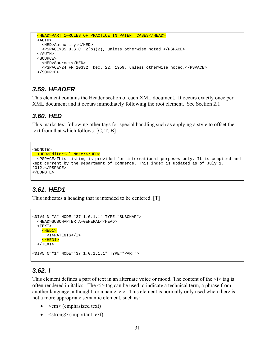```
 <HEAD>PART 1—RULES OF PRACTICE IN PATENT CASES</HEAD> 
 <AUTH> 
   <HED>Authority:</HED> 
   <PSPACE>35 U.S.C. 2(b)(2), unless otherwise noted.</PSPACE> 
< / AUTH>
 <SOURCE> 
   <HED>Source:</HED> 
   <PSPACE>24 FR 10332, Dec. 22, 1959, unless otherwise noted.</PSPACE> 
 </SOURCE>
```
### *3.59. HEADER*

This element contains the Header section of each XML document. It occurs exactly once per XML document and it occurs immediately following the root element. See Section 2.1

#### *3.60. HED*

This marks text following other tags for special handling such as applying a style to offset the text from that which follows. [C, T, B]

```
<EDNOTE> 
 <HED>Editorial Note:</HED> 
   <PSPACE>This listing is provided for informational purposes only. It is compiled and 
kept current by the Department of Commerce. This index is updated as of July 1, 
2012.</PSPACE> 
</EDNOTE>
```
### *3.61. HED1*

This indicates a heading that is intended to be centered. [T]

```
<DIV4 N="A" NODE="37:1.0.1.1" TYPE="SUBCHAP"> 
  <HEAD>SUBCHAPTER A—GENERAL</HEAD> 
  <TEXT> 
     <HED1> 
      <I>PATENTS</I> 
    </HED1>
 < /TEXT> \,<DIV5 N="1" NODE="37:1.0.1.1.1" TYPE="PART">
```
#### *3.62. I*

This element defines a part of text in an alternate voice or mood. The content of the  $\leq i$  tag is often rendered in italics. The  $\leq i$  tag can be used to indicate a technical term, a phrase from another language, a thought, or a name, etc. This element is normally only used when there is not a more appropriate semantic element, such as:

- $\bullet \quad$  <em> (emphasized text)
- $\bullet$   $\leq$  strong> (important text)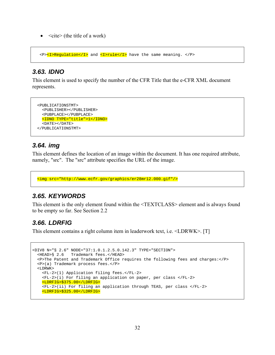$\bullet \quad$  <cite> (the title of a work)

<P><I>Regulation</I> and <I>rule</I> have the same meaning. </P>

### *3.63. IDNO*

This element is used to specify the number of the CFR Title that the e-CFR XML document represents.

```
 <PUBLICATIONSTMT> 
   <PUBLISHER></PUBLISHER> 
   <PUBPLACE></PUBPLACE> 
   <IDNO TYPE="title">1</IDNO> 
   <DATE></DATE> 
 </PUBLICATIONSTMT>
```
### *3.64. img*

This element defines the location of an image within the document. It has one required attribute, namely, "src". The "src" attribute specifies the URL of the image.

```
 <img src="http://www.ecfr.gov/graphics/er28mr12.000.gif"/>
```
### *3.65. KEYWORDS*

This element is the only element found within the <TEXTCLASS> element and is always found to be empty so far. See Section 2.2

### *3.66. LDRFIG*

This element contains a right column item in leaderwork text, i.e. <LDRWK>. [T]

```
<DIV8 N="§ 2.6" NODE="37:1.0.1.2.5.0.142.3" TYPE="SECTION"> 
  <HEAD>§ 2.6 Trademark fees.</HEAD> 
  <P>The Patent and Trademark Office requires the following fees and charges:</P> 
  <P>(a) Trademark process fees.</P> 
  <LDRWK> 
    <FL-2>(1) Application filing fees.</FL-2> 
     <FL-2>(i) For filing an application on paper, per class </FL-2> 
     <LDRFIG>$375.00</LDRFIG> 
     <FL-2>(ii) For filing an application through TEAS, per class </FL-2> 
     <LDRFIG>$325.00</LDRFIG>
```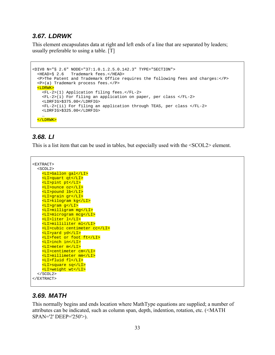### *3.67. LDRWK*

This element encapsulates data at right and left ends of a line that are separated by leaders; usually preferable to using a table. [T]

```
<DIV8 N="§ 2.6" NODE="37:1.0.1.2.5.0.142.3" TYPE="SECTION"> 
  <HEAD>§ 2.6 Trademark fees.</HEAD> 
   <P>The Patent and Trademark Office requires the following fees and charges:</P> 
  <P>(a) Trademark process fees.</P> 
  <LDRWK> 
     <FL-2>(1) Application filing fees.</FL-2> 
     <FL-2>(i) For filing an application on paper, per class </FL-2> 
     <LDRFIG>$375.00</LDRFIG> 
     <FL-2>(ii) For filing an application through TEAS, per class </FL-2> 
     <LDRFIG>$325.00</LDRFIG> 
 … 
  </LDRWK>
```
### *3.68. LI*

This is a list item that can be used in tables, but especially used with the <SCOL2> element.

```
<EXTRACT> 
   <SCOL2> 
     <LI>Gallon gal</LI> 
     <LI>quart qt</LI> 
     <LI>pint pt</LI> 
     <LI>ounce oz</LI> 
     <LI>pound lb</LI> 
     <LI>grain gr</LI> 
     <LI>kilogram kg</LI> 
     <LI>gram g</LI> 
     <LI>milligram mg</LI> 
     <LI>microgram mcg</LI> 
     <LI>liter l</LI> 
     <LI>milliliter ml</LI> 
     <LI>cubic centimeter cc</LI> 
     <LI>yard yd</LI> 
     <LI>feet or foot ft</LI> 
     <LI>inch in</LI> 
     <LI>meter m</LI> 
     <LI>centimeter cm</LI> 
     <LI>millimeter mm</LI> 
     <LI>fluid fl</LI> 
     <LI>square sq</LI> 
     <LI>weight wt</LI> 
   </SCOL2> 
</EXTRACT>
```
### *3.69. MATH*

This normally begins and ends location where MathType equations are supplied; a number of attributes can be indicated, such as column span, depth, indention, rotation, etc. (<MATH SPAN='2' DEEP='250'>).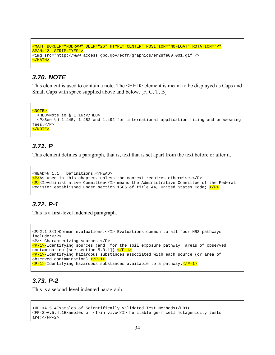```
<MATH BORDER="NODRAW" DEEP="26" HTYPE="CENTER" POSITION="NOFLOAT" ROTATION="P" 
SPAN="2" STRIP="YES"> 
<img src="http://www.access.gpo.gov/ecfr/graphics/er28fe00.001.gif"/> 
</MATH>
```
### *3.70. NOTE*

This element is used to contain a note. The <HED> element is meant to be displayed as Caps and Small Caps with space supplied above and below. [F, C, T, B]

```
<NOTE> 
   <HED>Note to § 1.16:</HED> 
  <P>See §§ 1.445, 1.482 and 1.492 for international application filing and processing 
fees.</P> 
</NOTE>
```
### *3.71. P*

This element defines a paragraph, that is, text that is set apart from the text before or after it.

```
<HEAD>§ 1.1 Definitions.</HEAD> 
p>AB used in this chapter, unless the context requires otherwise-p><P><I>Administrative Committee</I> means the Administrative Committee of the Federal 
Register established under section 1506 of title 44, United States Code; \langle P \rangle
```
### *3.72. P-1*

This is a first-level indented paragraph.

```
<P>2.1.3<I>Common evaluations.</I> Evaluations common to all four HRS pathways 
include:</P> 
<P>• Characterizing sources.</P> 
P-P-1>-Identifying sources (and, for the soil exposure pathway, areas of observed
contamination [see section 5.0.1]).\langle/P-1>
\langle P-1\rangle-Identifying hazardous substances associated with each source (or area of
observed contamination).</P-1> 
\langle P-1\rangle-Identifying hazardous substances available to a pathway.\langle P-1\rangle
```
### *3.73. P-2*

This is a second-level indented paragraph.

```
<HD1>A.5.4Examples of Scientifically Validated Test Methods</HD1> 
<FP-2>A.5.4.1Examples of <I>in vivo</I> heritable germ cell mutagenicity tests 
are:</FP-2>
```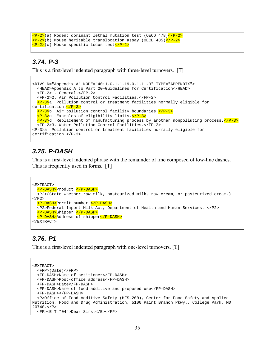```
<P-2>(a) Rodent dominant lethal mutation test (OECD 478)</P-2> 
\langle P-2\rangle(b) Mouse heritable translocation assay (OECD 485)\langle P-2\rangle<P-2>(c) Mouse specific locus test</P-2>
```
### *3.74. P-3*

This is a first-level indented paragraph with three-level turnovers. [T]

```
<DIV9 N="Appendix A" NODE="40:1.0.1.1.19.0.1.11.3" TYPE="APPENDIX"> 
   <HEAD>Appendix A to Part 20—Guidelines for Certification</HEAD> 
   <FP-2>1. General.</FP-2> 
   <FP-2>2. Air Pollution Control Facilities.</FP-2> 
   <P-3>a. Pollution control or treatment facilities normally eligible for 
certification.</P-3> 
   <P-3>b. Air pollution control facility boundaries.</P-3> 
   <P-3>c. Examples of eligibility limits.</P-3> 
  \langle P-3\rangled. Replacement of manufacturing process by another nonpolluting process.\langle P-3\rangle <FP-2>3. Water Pollution Control Facilities.</FP-2> 
<P-3>a. Pollution control or treatment facilities normally eligible for 
certification.</P-3>
```
### *3.75. P-DASH*

This is a first-level indented phrase with the remainder of line composed of low-line dashes. This is frequently used in forms. [T]

```
<EXTRACT> 
  <P-DASH>Product </P-DASH> 
   <P2>(State whether raw milk, pasteurized milk, raw cream, or pasteurized cream.) 
</P2 <P-DASH>Permit number </P-DASH> 
   <P2>Federal Import Milk Act, Department of Health and Human Services. </P2> 
  <P-DASH>Shipper </P-DASH> 
   <P-DASH>Address of shipper</P-DASH> 
</EXTRACT>
```
# *3.76. P1*

This is a first-level indented paragraph with one-level turnovers. [T]

```
<EXTRACT> 
   <FRP>(Date)</FRP> 
   <FP-DASH>Name of petitioner</FP-DASH> 
   <FP-DASH>Post-office address</FP-DASH> 
   <FP-DASH>Date</FP-DASH> 
   <FP-DASH>Name of food additive and proposed use</FP-DASH> 
   <FP-DASH></FP-DASH> 
   <P>Office of Food Additive Safety (HFS-200), Center for Food Safety and Applied 
Nutrition, Food and Drug Administration, 5100 Paint Branch Pkwy., College Park, MD 
20740. < P <FP><E T="04">Dear Sirs:</E></FP>
```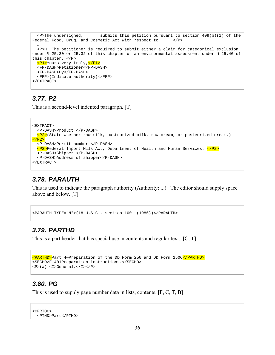```
\epsilonP>The undersigned, ______ submits this petition pursuant to section 409(b)(1) of the
Federal Food, Drug, and Cosmetic Act with respect to \angle /P>
 … 
   <P>H. The petitioner is required to submit either a claim for categorical exclusion 
under § 25.30 or 25.32 of this chapter or an environmental assessment under § 25.40 of 
this chapter. </P> 
   <P1>Yours very truly,</P1> 
   <FP-DASH>Petitioner</FP-DASH> 
   <FP-DASH>By</FP-DASH> 
   <FRP>(Indicate authority)</FRP> 
</EXTRACT>
```
### *3.77. P2*

This is a second-level indented paragraph. [T]

```
<EXTRACT> 
   <P-DASH>Product </P-DASH> 
  \langle P2\rangle(State whether raw milk, pasteurized milk, raw cream, or pasteurized cream.)
</P2>
   <P-DASH>Permit number </P-DASH> 
   <P2>Federal Import Milk Act, Department of Health and Human Services. </P2> 
   <P-DASH>Shipper </P-DASH> 
   <P-DASH>Address of shipper</P-DASH> 
</EXTRACT>
```
### *3.78. PARAUTH*

This is used to indicate the paragraph authority (Authority: ...). The editor should supply space above and below. [T]

<PARAUTH TYPE="N">(18 U.S.C., section 1001 (1986))</PARAUTH>

### *3.79. PARTHD*

This is a part header that has special use in contents and regular text. [C, T]

```
<PARTHD>Part 4—Preparation of the DD Form 250 and DD Form 250C</PARTHD> 
<SECHD>F-401Preparation instructions.</SECHD> 
<P>(a) <I>General.</I></P>
```
#### *3.80. PG*

This is used to supply page number data in lists, contents. [F, C, T, B]

```
<CFRTOC> 
   <PTHD>Part</PTHD>
```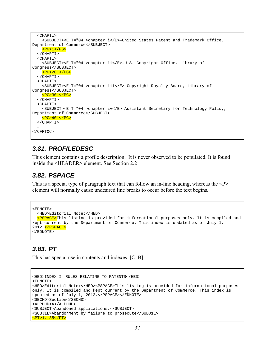```
 <CHAPTI> 
     <SUBJECT><E T="04">chapter i</E>—United States Patent and Trademark Office, 
Department of Commerce</SUBJECT> 
    <PG>1</PG>
   </CHAPTI> 
   <CHAPTI> 
     <SUBJECT><E T="04">chapter ii</E>—U.S. Copyright Office, Library of 
Congress</SUBJECT> 
     <PG>201</PG> 
   </CHAPTI> 
   <CHAPTI> 
     <SUBJECT><E T="04">chapter iii</E>—Copyright Royalty Board, Library of 
Congress</SUBJECT> 
    <PG>301</PG>
   </CHAPTI> 
   <CHAPTI> 
     <SUBJECT><E T="04">chapter iv</E>—Assistant Secretary for Technology Policy, 
Department of Commerce</SUBJECT> 
     <PG>401</PG> 
   </CHAPTI> 
 … 
</CFRTOC>
```
### *3.81. PROFILEDESC*

This element contains a profile description. It is never observed to be populated. It is found inside the <HEADER> element. See Section 2.2

### *3.82. PSPACE*

This is a special type of paragraph text that can follow an in-line heading, whereas the  $\langle P \rangle$ element will normally cause undesired line breaks to occur before the text begins.

```
ZFDNOTFS
   <HED>Editorial Note:</HED> 
   <PSPACE>This listing is provided for informational purposes only. It is compiled and 
kept current by the Department of Commerce. This index is updated as of July 1, 
2012.</PSPACE> 
</EDNOTE>
```
### *3.83. PT*

This has special use in contents and indexes. [C, B]

```
<HED>INDEX I—RULES RELATING TO PATENTS</HED> 
<EDNOTE> 
<HED>Editorial Note:</HED><PSPACE>This listing is provided for informational purposes 
only. It is compiled and kept current by the Department of Commerce. This index is 
updated as of July 1, 2012.</PSPACE></EDNOTE> 
<SECHD>Section</SECHD> 
<ALPHHD>A</ALPHHD> 
<SUBJECT>Abandoned applications:</SUBJECT> 
<SUBJ1L>Abandonment by failure to prosecute</SUBJ1L> 
<PT>1.135</PT>
```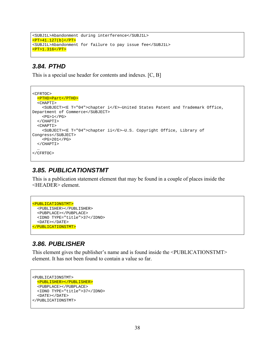```
<SUBJ1L>Abandonment during interference</SUBJ1L> 
<PT>41.127(b)</PT> 
<SUBJ1L>Abandonment for failure to pay issue fee</SUBJ1L> 
<PT>1.316</PT>
```
#### *3.84. PTHD*

This is a special use header for contents and indexes. [C, B]

```
<CFRTOC> 
  <PTHD>Part</PTHD> 
   <CHAPTI> 
     <SUBJECT><E T="04">chapter i</E>—United States Patent and Trademark Office, 
Department of Commerce</SUBJECT> 
    <PG>1</PG>
   </CHAPTI> 
   <CHAPTI> 
     <SUBJECT><E T="04">chapter ii</E>—U.S. Copyright Office, Library of 
Congress</SUBJECT> 
    <PG>201</PG>
   </CHAPTI> 
 … 
</CFRTOC>
```
#### *3.85. PUBLICATIONSTMT*

This is a publication statement element that may be found in a couple of places inside the <HEADER> element.

```
<PUBLICATIONSTMT> 
   <PUBLISHER></PUBLISHER> 
   <PUBPLACE></PUBPLACE> 
   <IDNO TYPE="title">37</IDNO> 
   <DATE></DATE> 
</PUBLICATIONSTMT>
```
### *3.86. PUBLISHER*

This element gives the publisher's name and is found inside the <PUBLICATIONSTMT> element. It has not been found to contain a value so far.

```
<PUBLICATIONSTMT> 
   <PUBLISHER></PUBLISHER> 
   <PUBPLACE></PUBPLACE> 
   <IDNO TYPE="title">37</IDNO> 
   <DATE></DATE> 
</PUBLICATIONSTMT>
```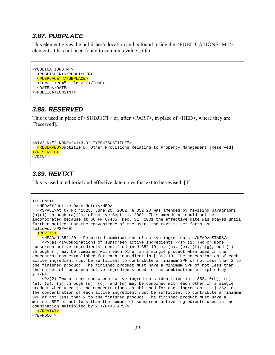### *3.87. PUBPLACE*

This element gives the publisher's location and is found inside the <PUBLICATIONSTMT> element. It has not been found to contain a value so far.

```
<PUBLICATIONSTMT> 
   <PUBLISHER></PUBLISHER> 
   <PUBPLACE></PUBPLACE> 
   <IDNO TYPE="title">37</IDNO> 
   <DATE></DATE> 
</PUBLICATIONSTMT>
```
### *3.88. RESERVED*

This is used in place of <SUBJECT> or, after <PART>, in place of <HED>, where they are [Reserved].

```
<DIV2 N="" NODE="41:3.9" TYPE="SUBTITLE"> 
 <RESERVED>Subtitle D. Other Provisions Relating to Property Management [Reserved]
</RESERVED> 
</DIV2>
```
### *3.89. REVTXT*

This is used in editorial and effective date notes for text to be revised. [T]

```
<EFFDNOT> 
   <HED>Effective Date Note:</HED> 
   <PSPACE>At 67 FR 41823, June 20, 2002, § 352.20 was amended by revising paragraphs 
(a)(1) through (a)(2), effective Sept. 1, 2002. This amendment could not be
incorporated because at 66 FR 67485, Dec. 31, 2001 the effective date was stayed until 
further notice. For the convenience of the user, the text is set forth as 
follows:</PSPACE> 
   <REVTXT> 
     <HEAD>§ 352.20 Permitted combinations of active ingredients.</HEAD><STARS/> 
     <P>(a) <I>Combinations of sunscreen active ingredients.</I> (1) Two or more 
sunscreen active ingredients identified in \S 352.10(a), (c), (e), (f), (g), and (i)
through (r) may be combined with each other in a single product when used in the 
concentrations established for each ingredient in § 352.10. The concentration of each 
active ingredient must be sufficient to contribute a minimum SPF of not less than 2 to 
the finished product. The finished product must have a minimum SPF of not less than 
the number of sunscreen active ingredients used in the combination multiplied by 
2. < P <P>(2) Two or more sunscreen active ingredients identified in § 352.10(b), (c), 
(e), (g), (j) through (m), (o), and (q) may be combined with each other in a single 
product when used in the concentrations established for each ingredient in § 352.10. 
The concentration of each active ingredient must be sufficient to contribute a minimum 
SPF of not less than 2 to the finished product. The finished product must have a 
minimum SPF of not less than the number of sunscreen active ingredients used in the 
combination multiplied by 2.</P><STARS/> 
   </REVTXT> 
</EFFDNOT>
```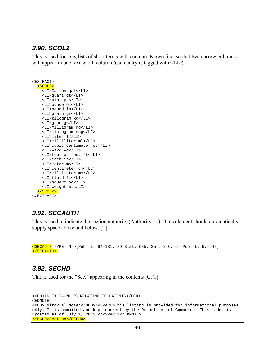#### *3.90. SCOL2*

This is used for long lists of short terms with each on its own line, so that two narrow columns will appear in one text-width column (each entry is tagged with  $\langle L \rangle$ ).

```
<EXTRACT> 
   <SCOL2> 
     <LI>Gallon gal</LI> 
     <LI>quart qt</LI> 
     <LI>pint pt</LI> 
     <LI>ounce oz</LI> 
     <LI>pound lb</LI> 
     <LI>grain gr</LI> 
     <LI>kilogram kg</LI> 
     <LI>gram g</LI> 
     <LI>milligram mg</LI> 
     <LI>microgram mcg</LI> 
     <LI>liter l</LI> 
     <LI>milliliter ml</LI> 
     <LI>cubic centimeter cc</LI> 
     <LI>yard yd</LI> 
     <LI>feet or foot ft</LI> 
     <LI>inch in</LI> 
     <LI>meter m</LI> 
     <LI>centimeter cm</LI> 
     <LI>millimeter mm</LI> 
     <LI>fluid fl</LI> 
     <LI>square sq</LI> 
     <LI>weight wt</LI> 
   </SCOL2> 
</EXTRACT>
```
### *3.91. SECAUTH*

This is used to indicate the section authority (Authority: ...). This element should automatically supply space above and below. [T]

```
<SECAUTH TYPE="N">(Pub. L. 94-131, 89 Stat. 685; 35 U.S.C. 6, Pub. L. 97-247) 
</SECAUTH>
```
### *3.92. SECHD*

This is used for the "Sec." appearing in the contents [C, T]

```
<HED>INDEX I—RULES RELATING TO PATENTS</HED> 
<EDNOTE> 
<HED>Editorial Note:</HED><PSPACE>This listing is provided for informational purposes 
only. It is compiled and kept current by the Department of Commerce. This index is 
updated as of July 1, 2012.</PSPACE></EDNOTE> 
<SECHD>Section</SECHD>
```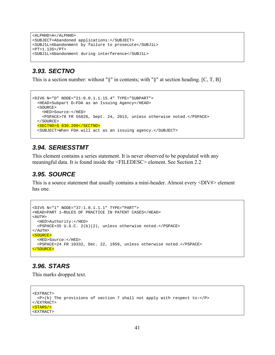```
<ALPHHD>A</ALPHHD> 
<SUBJECT>Abandoned applications:</SUBJECT> 
<SUBJ1L>Abandonment by failure to prosecute</SUBJ1L> 
<PT>1.135</PT> 
<SUBJ1L>Abandonment during interference</SUBJ1L>
```
### *3.93. SECTNO*

This is a section number: without "§" in contents; with "§" at section heading. [C, T, B]

```
<DIV6 N="D" NODE="21:8.0.1.1.15.4" TYPE="SUBPART"> 
  <HEAD>Subpart D—FDA as an Issuing Agency</HEAD> 
   <SOURCE> 
     <HED>Source:</HED> 
     <PSPACE>78 FR 55826, Sept. 24, 2013, unless otherwise noted.</PSPACE> 
   </SOURCE> 
   <SECTNO>§ 830.200</SECTNO> 
   <SUBJECT>When FDA will act as an issuing agency.</SUBJECT>
```
### *3.94. SERIESSTMT*

This element contains a series statement. It is never observed to be populated with any meaningful data. It is found inside the <FILEDESC> element. See Section 2.2

### *3.95. SOURCE*

This is a source statement that usually contains a mini-header. Almost every <DIV#> element has one.

```
<DIV5 N="1" NODE="37:1.0.1.1.1" TYPE="PART"> 
<HEAD>PART 1—RULES OF PRACTICE IN PATENT CASES</HEAD> 
<ATITH> <HED>Authority:</HED> 
  <PSPACE>35 U.S.C. 2(b)(2), unless otherwise noted.</PSPACE> 
</AUTH> 
<SOURCE> 
  <HED>Source:</HED> 
   <PSPACE>24 FR 10332, Dec. 22, 1959, unless otherwise noted.</PSPACE> 
</SOURCE>
```
### *3.96. STARS*

This marks dropped text.

```
<EXTRACT> 
   <P>(b) The provisions of section 7 shall not apply with respect to:</P> 
< / \rm EXTRACT ><STARS/><EXTRACT>
```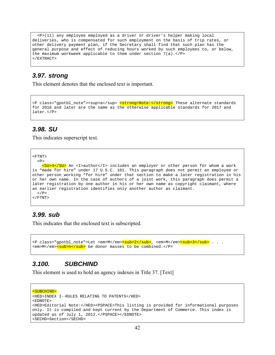<P>(11) any employee employed as a driver or driver's helper making local deliveries, who is compensated for such employment on the basis of trip rates, or other delivery payment plan, if the Secretary shall find that such plan has the general purpose and effect of reducing hours worked by such employees to, or below, the maximum workweek applicable to them under section  $7(a)$ .</P> </EXTRACT>

#### *3.97. strong*

This element denotes that the enclosed text is important.

```
<P class="gpotbl_note"><sup>a</sup> <strong>Note:</strong> These alternate standards
for 2016 and later are the same as the otherwise applicable standards for 2017 and 
later.</P>
```
#### *3.98. SU*

This indicates superscript text.

```
<FTNT>
```

```
P <SU>4</SU> An <I>author</I> includes an employer or other person for whom a work 
is "made for hire" under 17 U.S.C. 101. This paragraph does not permit an employee or 
other person working "for hire" under that section to make a later registration in his 
or her own name. In the case of authors of a joint work, this paragraph does permit a 
later registration by one author in his or her own name as copyright claimant, where 
an earlier registration identifies only another author as claimant. 
 \langle/P>
</FTNT>
```
#### *3.99. sub*

This indicates that the enclosed text is subscripted.

```
<P class="gpotbl_note">Let <em>M</em><mark><sub>2</sub></mark>, <em>M</em><mark><sub>3</sub></mark> . . .
<em>M</em><sub>n</sub> be donor masses to be combined.</P>
```
### *3.100. SUBCHIND*

This element is used to hold an agency indexes in Title 37. [Text]

```
<SUBCHIND> 
<HED>INDEX I—RULES RELATING TO PATENTS</HED> 
<EDNOTE> 
<HED>Editorial Note:</HED><PSPACE>This listing is provided for informational purposes 
only. It is compiled and kept current by the Department of Commerce. This index is 
updated as of July 1, 2012.</PSPACE></EDNOTE> 
<SECHD>Section</SECHD>
```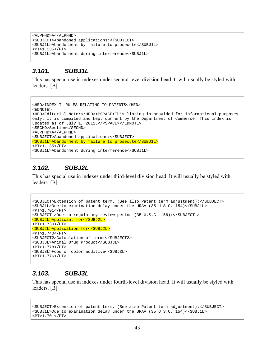<ALPHHD>A</ALPHHD> <SUBJECT>Abandoned applications:</SUBJECT> <SUBJ1L>Abandonment by failure to prosecute</SUBJ1L> <PT>1.135</PT> <SUBJ1L>Abandonment during interference</SUBJ1L>

### *3.101. SUBJ1L*

This has special use in indexes under second-level division head. It will usually be styled with leaders. [B]

```
<HED>INDEX I—RULES RELATING TO PATENTS</HED> 
<EDNOTE> 
<HED>Editorial Note:</HED><PSPACE>This listing is provided for informational purposes 
only. It is compiled and kept current by the Department of Commerce. This index is 
updated as of July 1, 2012.</PSPACE></EDNOTE> 
<SECHD>Section</SECHD> 
<ALPHHD>A</ALPHHD> 
<SUBJECT>Abandoned applications:</SUBJECT> 
<SUBJ1L>Abandonment by failure to prosecute</SUBJ1L> 
<PT>1.135</PT> 
<SUBJ1L>Abandonment during interference</SUBJ1L>
```
### *3.102. SUBJ2L*

This has special use in indexes under third-level division head. It will usually be styled with leaders. [B]

```
<SUBJECT>Extension of patent term. (See also Patent term adjustment):</SUBJECT> 
<SUBJ1L>Due to examination delay under the URAA (35 U.S.C. 154)</SUBJ1L> 
<PT>1.701</PT> 
<SUBJECT1>Due to regulatory review period (35 U.S.C. 156):</SUBJECT1> 
<SUBJ2L>Applicant for</SUBJ2L> 
<PT>1.730</PT> 
<SUBJ2L>Application for</SUBJ2L> 
<PT>1.740</PT>
<SUBJECT2>Calculation of term:</SUBJECT2> 
<SUBJ3L>Animal Drug Product</SUBJ3L> 
<PT>1.778</PT> 
<SUBJ3L>Food or color additive</SUBJ3L> 
<PT>1.776</PT>
```
#### *3.103. SUBJ3L*

This has special use in indexes under fourth-level division head. It will usually be styled with leaders. [B]

```
<SUBJECT>Extension of patent term. (See also Patent term adjustment):</SUBJECT> 
<SUBJ1L>Due to examination delay under the URAA (35 U.S.C. 154)</SUBJ1L> 
<PT>1.701</PT>
```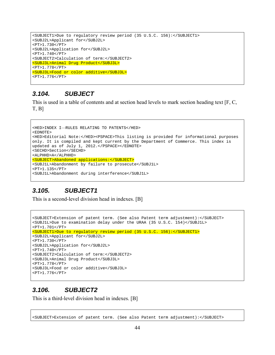```
<SUBJECT1>Due to regulatory review period (35 U.S.C. 156):</SUBJECT1> 
<SUBJ2L>Applicant for</SUBJ2L> 
<PT>1.730</PT> 
<SUBJ2L>Application for</SUBJ2L> 
<PT>1.740</PT>
<SUBJECT2>Calculation of term:</SUBJECT2> 
<SUBJ3L>Animal Drug Product</SUBJ3L> 
<PT>1.778</PT> 
<SUBJ3L>Food or color additive</SUBJ3L> 
<PT>1.776</PT>
```
#### *3.104. SUBJECT*

This is used in a table of contents and at section head levels to mark section heading text [F, C, T, B]

```
<HED>INDEX I—RULES RELATING TO PATENTS</HED> 
<EDNOTE> 
<HED>Editorial Note:</HED><PSPACE>This listing is provided for informational purposes 
only. It is compiled and kept current by the Department of Commerce. This index is 
updated as of July 1, 2012.</PSPACE></EDNOTE> 
<SECHD>Section</SECHD> 
<ALPHHD>A</ALPHHD> 
<SUBJECT>Abandoned applications:</SUBJECT> 
<SUBJ1L>Abandonment by failure to prosecute</SUBJ1L> 
<PT>1.135</PT> 
<SUBJ1L>Abandonment during interference</SUBJ1L>
```
# *3.105. SUBJECT1*

This is a second-level division head in indexes. [B]

```
<SUBJECT>Extension of patent term. (See also Patent term adjustment):</SUBJECT> 
<SUBJ1L>Due to examination delay under the URAA (35 U.S.C. 154)</SUBJ1L> 
<PT>1.701</PT> 
<SUBJECT1>Due to regulatory review period (35 U.S.C. 156):</SUBJECT1> 
<SUBJ2L>Applicant for</SUBJ2L> 
<PT>1.730</PT> 
<SUBJ2L>Application for</SUBJ2L> 
<PT>1.740</PT>
<SUBJECT2>Calculation of term:</SUBJECT2> 
<SUBJ3L>Animal Drug Product</SUBJ3L> 
<PT>1.778</PT> 
<SUBJ3L>Food or color additive</SUBJ3L> 
<PT>1.776</PT>
```
#### *3.106. SUBJECT2*

This is a third-level division head in indexes. [B]

```
<SUBJECT>Extension of patent term. (See also Patent term adjustment):</SUBJECT>
```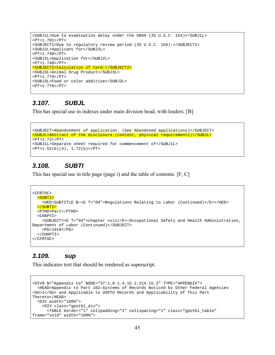```
<SUBJ1L>Due to examination delay under the URAA (35 U.S.C. 154)</SUBJ1L> 
<PT>1.701</PT> 
<SUBJECT1>Due to regulatory review period (35 U.S.C. 156):</SUBJECT1> 
<SUBJ2L>Applicant for</SUBJ2L> 
<PT>1.730</PT> 
<SUBJ2L>Application for</SUBJ2L> 
<PT>1.740</PT>
<SUBJECT2>Calculation of term:</SUBJECT2> 
<SUBJ3L>Animal Drug Product</SUBJ3L> 
<PT>1.778</PT> 
<SUBJ3L>Food or color additive</SUBJ3L> 
<PT>1.776</PT>
```
#### *3.107. SUBJL*

This has special use in indexes under main division head, with leaders. [B]

```
<SUBJECT>Abandonment of application. (See Abandoned applications)</SUBJECT> 
<SUBJL>Abstract of the disclosure.(content, physical requirements)</SUBJL> 
<PT>1.72</PT> 
<SUBJ1L>Separate sheet required for commencement of</SUBJ1L> 
\text{P}T>1.52(b)(4), 1.72(b)<\text{PT}
```
#### *3.108. SUBTI*

This has special use in title page (page i) and the table of contents. [F, C]

```
<CFRTOC> 
   <SUBTI> 
     <HED>SUBTITLE B—<E T="04">Regulations Relating to Labor (Continued)</E></HED> 
   </SUBTI> 
   <PTHD>Part</PTHD> 
   <CHAPTI> 
     <SUBJECT><E T="04">chapter xvii</E>—Occupational Safety and Health Administration, 
Department of Labor (Continued)</SUBJECT> 
     <PG>1910</PG> 
   </CHAPTI> 
</CFRTOC>
```
#### *3.109. sup*

This indicates text that should be rendered as superscript.

```
<DIV9 N="Appendix to" NODE="37:1.0.1.4.15.2.214.15.2" TYPE="APPENDIX"> 
  <HEAD>Appendix to Part 102—Systems of Records Noticed by Other Federal Agencies 
<SU>1</SU> and Applicable to USPTO Records and Applicability of This Part 
Thereto</HEAD> 
   <DIV width="100%"> 
     <DIV class="gpotbl_div"> 
       <TABLE border="1" cellpadding="1" cellspacing="1" class="gpotbl_table" 
frame="void" width="100%">
```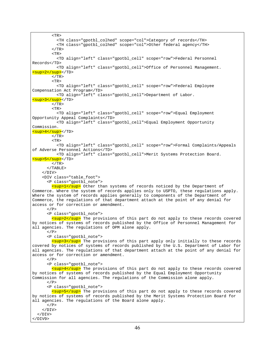<TR> <TH class="gpotbl\_colhed" scope="col">Category of records</TH> <TH class="gpotbl\_colhed" scope="col">Other federal agency</TH>  $<$ /TR $>$  $\leq$ TR $>$  <TD align="left" class="gpotbl\_cell" scope="row">Federal Personnel Records</TD> <TD align="left" class="gpotbl\_cell">Office of Personnel Management. <sup>2</sup></TD>  $<$ /TR $>$  <TR> <TD align="left" class="gpotbl\_cell" scope="row">Federal Employee Compensation Act Program</TD> <TD align="left" class="gpotbl\_cell">Department of Labor. <sup>3</sup></TD>  $<$ /TR $>$  $<$ TR $>$  <TD align="left" class="gpotbl\_cell" scope="row">Equal Employment Opportunity Appeal Complaints</TD> <TD align="left" class="gpotbl\_cell">Equal Employment Opportunity Commission. <sup>4</sup></TD>  $<$  /TR  $>$  <TR> <TD align="left" class="gpotbl\_cell" scope="row">Formal Complaints/Appeals of Adverse Personnel Actions</TD> <TD align="left" class="gpotbl\_cell">Merit Systems Protection Board. <sup>5</sup></TD>  $<$ /TR $>$  </TABLE>  $\langle$ DIV $>$  <DIV class="table\_foot"> <P class="gpotbl\_note"> <sup>1</sup> Other than systems of records noticed by the Department of Commerce. Where the system of records applies only to USPTO, these regulations apply. Where the system of records applies generally to components of the Department of Commerce, the regulations of that department attach at the point of any denial for access or for correction or amendment.  $\langle$  / P  $>$  <P class="gpotbl\_note"> <sup>2</sup> The provisions of this part do not apply to these records covered by notices of systems of records published by the Office of Personnel Management for all agencies. The regulations of OPM alone apply.  $<$ / $P$ > <P class="gpotbl\_note"> <sup>3</sup> The provisions of this part apply only initially to these records covered by notices of systems of records published by the U.S. Department of Labor for all agencies. The regulations of that department attach at the point of any denial for access or for correction or amendment.  $<$ / $P$ > <P class="gpotbl\_note"> <sup>4</sup> The provisions of this part do not apply to these records covered by notices of systems of records published by the Equal Employment Opportunity Commission for all agencies. The regulations of the Commission alone apply.  $<$ / $P$ > <P class="gpotbl\_note"> <sup>5</sup> The provisions of this part do not apply to these records covered by notices of systems of records published by the Merit Systems Protection Board for all agencies. The regulations of the Board alone apply.  $\langle$ /P>  $<$ /DIV>  $<$ /DIV $>$ </DIV9>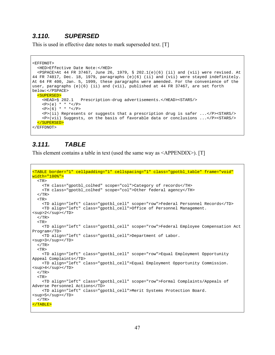### *3.110. SUPERSED*

This is used in effective date notes to mark superseded text. [T]

```
<EFFDNOT> 
  <HED>Effective Date Note:</HED> 
  <PSPACE>At 44 FR 37467, June 26, 1979, § 202.1(e)(6) (ii) and (vii) were revised. At 
44 FR 74817, Dec. 18, 1979, paragraphs (e)(6) (ii) and (vii) were stayed indefinitely. 
At 64 FR 400, Jan. 5, 1999, these paragraphs were amended. For the convenience of the 
user, paragraphs (e)(6) (ii) and (vii), published at 44 FR 37467, are set forth
below:</PSPACE> 
  <SUPERSED> 
    <HEAD>§ 202.1 Prescription-drug advertisements.</HEAD><STARS/> 

   < P > (6) * * * </P>
     <P>(ii) Represents or suggests that a prescription drug is safer ...</P><STARS/> 
     <P>(vii) Suggests, on the basis of favorable data or conclusions ...</P><STARS/> 
  </SUPERSED> 
</EFFDNOT>
```
### *3.111. TABLE*

This element contains a table in text (used the same way as <APPENDIX>). [T]

```
<TABLE border="1" cellpadding="1" cellspacing="1" class="gpotbl_table" frame="void" 
width="100%"> 
  <TR> <TH class="gpotbl_colhed" scope="col">Category of records</TH> 
     <TH class="gpotbl_colhed" scope="col">Other federal agency</TH> 
  </TR><TR> <TD align="left" class="gpotbl_cell" scope="row">Federal Personnel Records</TD> 
     <TD align="left" class="gpotbl_cell">Office of Personnel Management. 
<sup>2</sup></TD>
  </TR><TR> <TD align="left" class="gpotbl_cell" scope="row">Federal Employee Compensation Act 
Program</TD> 
     <TD align="left" class="gpotbl_cell">Department of Labor. 
<sup>3</sup></TD>
  </TR> <TR> 
     <TD align="left" class="gpotbl_cell" scope="row">Equal Employment Opportunity 
Appeal Complaints</TD> 
     <TD align="left" class="gpotbl_cell">Equal Employment Opportunity Commission. 
<sup>4</sup></TD>
  </TR> <TR> 
     <TD align="left" class="gpotbl_cell" scope="row">Formal Complaints/Appeals of 
Adverse Personnel Actions</TD> 
     <TD align="left" class="gpotbl_cell">Merit Systems Protection Board. 
<sup>5</sup></TD>
  </TR></TABLE>
```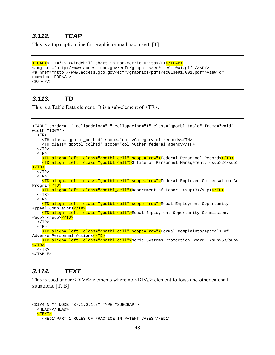### *3.112. TCAP*

This is a top caption line for graphic or mathpac insert. [T]

```
<TCAP><E T="15">windchill chart in non-metric units</E></TCAP> 
<img src="http://www.access.gpo.gov/ecfr/graphics/ec01se91.001.gif"/><P/> 
<a href="http://www.access.gpo.gov/ecfr/graphics/pdfs/ec01se91.001.pdf">View or 
download PDF</a> 
<P/><P/>
```
### *3.113. TD*

This is a Table Data element. It is a sub-element of <TR>.

```
<TABLE border="1" cellpadding="1" cellspacing="1" class="gpotbl_table" frame="void" 
width="100%"> 
  <TR> <TH class="gpotbl_colhed" scope="col">Category of records</TH> 
     <TH class="gpotbl_colhed" scope="col">Other federal agency</TH> 
  </TR><TR> <TD align="left" class="gpotbl_cell" scope="row">Federal Personnel Records</TD> 
     <TD align="left" class="gpotbl_cell">Office of Personnel Management. <sup>2</sup> 
</TD> 
  </TR> <TR> 
     <TD align="left" class="gpotbl_cell" scope="row">Federal Employee Compensation Act 
Program</TD>
    <TD align="left" class="gpotbl_cell">Department of Labor. <sup>3</sup></TD>
  < / TR><TR> <TD align="left" class="gpotbl_cell" scope="row">Equal Employment Opportunity 
Appeal Complaints</TD>
     <TD align="left" class="gpotbl_cell">Equal Employment Opportunity Commission. 
<sup>4</sup><mark></TD></mark>
  \langle/TR><TR> <TD align="left" class="gpotbl_cell" scope="row">Formal Complaints/Appeals of 
Adverse Personnel Actions</TD> 
    <TD align="left" class="gpotbl_cell">Merit Systems Protection Board. <sup>5</sup> 
</TD>
  </TR>\langle/TABLE>
```
### *3.114. TEXT*

This is used under <DIV#> elements where no <DIV#> element follows and other catchall situations. [T, B]

```
<DIV4 N="" NODE="37:1.0.1.2" TYPE="SUBCHAP"> 
  <HEAD></HEAD> 
   <TEXT> 
     <HED1>PART 1—RULES OF PRACTICE IN PATENT CASES</HED1>
```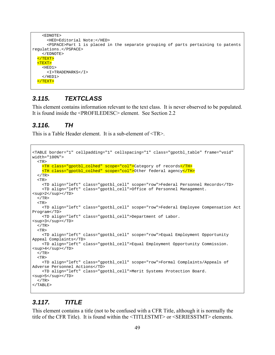```
 <EDNOTE> 
       <HED>Editorial Note:</HED> 
       <PSPACE>Part 1 is placed in the separate grouping of parts pertaining to patents 
regulations.</PSPACE> 
     </EDNOTE> 
   </TEXT> 
   <TEXT> 
     <HED1> 
       <I>TRADEMARKS</I> 
    </HED1>
   </TEXT>
```
#### *3.115. TEXTCLASS*

This element contains information relevant to the text class. It is never observed to be populated. It is found inside the <PROFILEDESC> element. See Section 2.2

#### *3.116. TH*

This is a Table Header element. It is a sub-element of <TR>.

```
<TABLE border="1" cellpadding="1" cellspacing="1" class="gpotbl_table" frame="void" 
width="100%"> 
  <TR> <TH class="gpotbl_colhed" scope="col">Category of records</TH> 
     <TH class="gpotbl_colhed" scope="col">Other federal agency</TH> 
  </TR><TR> <TD align="left" class="gpotbl_cell" scope="row">Federal Personnel Records</TD> 
     <TD align="left" class="gpotbl_cell">Office of Personnel Management. 
<sup>2</sup></TD>
  \langle/TR> <TR> 
     <TD align="left" class="gpotbl_cell" scope="row">Federal Employee Compensation Act 
Program</TD> 
    <TD align="left" class="gpotbl_cell">Department of Labor. 
<sup>3</sup></TD>
  </TR> <TR> 
     <TD align="left" class="gpotbl_cell" scope="row">Equal Employment Opportunity 
Appeal Complaints</TD> 
     <TD align="left" class="gpotbl_cell">Equal Employment Opportunity Commission. 
<sup>4</sup></TD> 
  </TR> <TR> 
     <TD align="left" class="gpotbl_cell" scope="row">Formal Complaints/Appeals of 
Adverse Personnel Actions</TD> 
     <TD align="left" class="gpotbl_cell">Merit Systems Protection Board. 
<sup>5</sup></TD>
  </TR></TABLE>
```
#### *3.117. TITLE*

This element contains a title (not to be confused with a CFR Title, although it is normally the title of the CFR Title). It is found within the <TITLESTMT> or <SERIESSTMT> elements.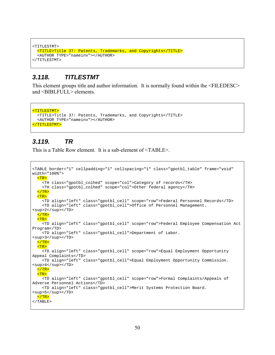```
<TITLESTMT> 
  <TITLE>Title 37: Patents, Trademarks, and Copyrights</TITLE> 
   <AUTHOR TYPE="nameinv"></AUTHOR> 
</TITLESTMT>
```
#### *3.118. TITLESTMT*

This element groups title and author information. It is normally found within the <FILEDESC> and <BIBLFULL> elements.

```
<TITLESTMT> 
  <TITLE>Title 37: Patents, Trademarks, and Copyrights</TITLE> 
  <AUTHOR TYPE="nameinv"></AUTHOR> 
</TITLESTMT>
```
#### *3.119. TR*

This is a Table Row element. It is a sub-element of <TABLE>.

```
<TABLE border="1" cellpadding="1" cellspacing="1" class="gpotbl_table" frame="void" 
width="100%"> 
   <TR> 
     <TH class="gpotbl_colhed" scope="col">Category of records</TH> 
     <TH class="gpotbl_colhed" scope="col">Other federal agency</TH> 
  </TR>
  <sub>TR></sub></sub>
     <TD align="left" class="gpotbl_cell" scope="row">Federal Personnel Records</TD> 
     <TD align="left" class="gpotbl_cell">Office of Personnel Management. 
<sup>2</sup></TD>
  \langleTR>
   <TR> 
     <TD align="left" class="gpotbl_cell" scope="row">Federal Employee Compensation Act 
Program</TD> 
     <TD align="left" class="gpotbl_cell">Department of Labor. 
<sup>3</sup></TD>
  </TR>TR> <TD align="left" class="gpotbl_cell" scope="row">Equal Employment Opportunity 
Appeal Complaints</TD> 
     <TD align="left" class="gpotbl_cell">Equal Employment Opportunity Commission. 
<sup>4</sup></TD> 
  \langle TR>
   <TR> 
     <TD align="left" class="gpotbl_cell" scope="row">Formal Complaints/Appeals of 
Adverse Personnel Actions</TD> 
     <TD align="left" class="gpotbl_cell">Merit Systems Protection Board. 
<sup>5</sup></TD>
 </TR></TABLE>
```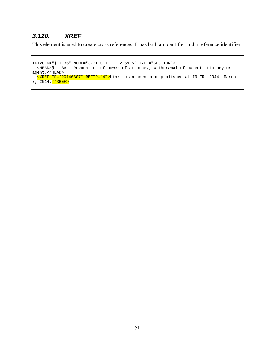# *3.120. XREF*

This element is used to create cross references. It has both an identifier and a reference identifier.

<DIV8 N="§ 1.36" NODE="37:1.0.1.1.1.2.69.5" TYPE="SECTION"> <HEAD>§ 1.36 Revocation of power of attorney; withdrawal of patent attorney or agent.</HEAD> <XREF ID="20140307" REFID="4">Link to an amendment published at 79 FR 12944, March 7, 2014. </XREF>